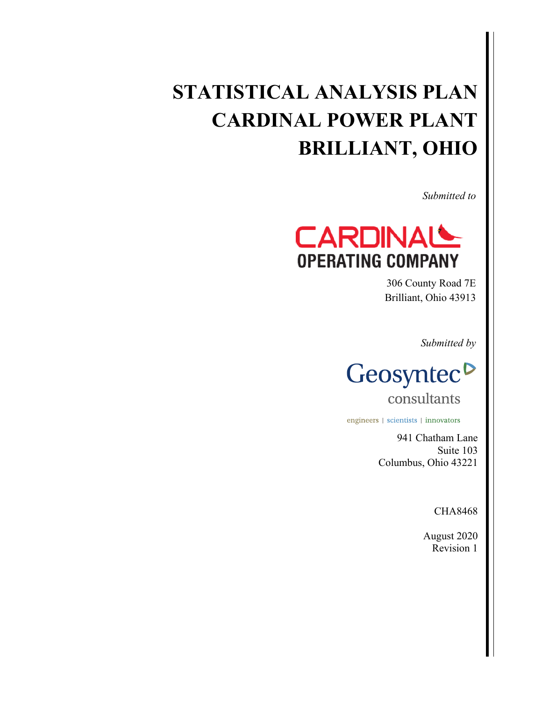# **STATISTICAL ANALYSIS PLAN CARDINAL POWER PLANT BRILLIANT, OHIO**

*Submitted to* 



306 County Road 7E Brilliant, Ohio 43913

*Submitted by* 



consultants

engineers | scientists | innovators

941 Chatham Lane Suite 103 Columbus, Ohio 43221

CHA8468

August 2020 Revision 1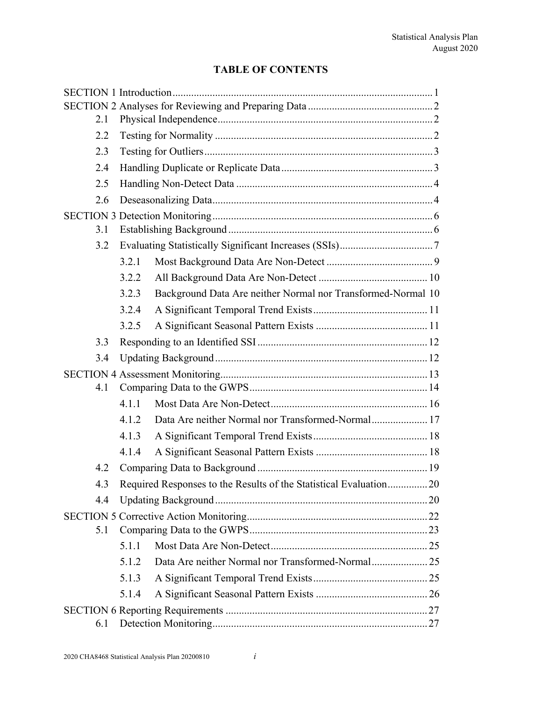# **TABLE OF CONTENTS**

| 2.1 |       |                                                                   |  |  |  |
|-----|-------|-------------------------------------------------------------------|--|--|--|
| 2.2 |       |                                                                   |  |  |  |
| 2.3 |       |                                                                   |  |  |  |
| 2.4 |       |                                                                   |  |  |  |
| 2.5 |       |                                                                   |  |  |  |
| 2.6 |       |                                                                   |  |  |  |
|     |       |                                                                   |  |  |  |
| 3.1 |       |                                                                   |  |  |  |
| 3.2 |       |                                                                   |  |  |  |
|     | 3.2.1 |                                                                   |  |  |  |
|     | 3.2.2 |                                                                   |  |  |  |
|     | 3.2.3 | Background Data Are neither Normal nor Transformed-Normal 10      |  |  |  |
|     | 3.2.4 |                                                                   |  |  |  |
|     | 3.2.5 |                                                                   |  |  |  |
| 3.3 |       |                                                                   |  |  |  |
| 3.4 |       |                                                                   |  |  |  |
|     |       |                                                                   |  |  |  |
| 4.1 |       |                                                                   |  |  |  |
|     | 4.1.1 |                                                                   |  |  |  |
|     | 4.1.2 | Data Are neither Normal nor Transformed-Normal 17                 |  |  |  |
|     | 4.1.3 |                                                                   |  |  |  |
|     | 4.1.4 |                                                                   |  |  |  |
| 4.2 |       |                                                                   |  |  |  |
| 4.3 |       | Required Responses to the Results of the Statistical Evaluation20 |  |  |  |
| 4.4 |       |                                                                   |  |  |  |
|     |       |                                                                   |  |  |  |
| 5.1 |       |                                                                   |  |  |  |
|     | 5.1.1 |                                                                   |  |  |  |
|     | 5.1.2 | Data Are neither Normal nor Transformed-Normal 25                 |  |  |  |
|     | 5.1.3 |                                                                   |  |  |  |
|     | 5.1.4 |                                                                   |  |  |  |
|     |       |                                                                   |  |  |  |
| 6.1 |       |                                                                   |  |  |  |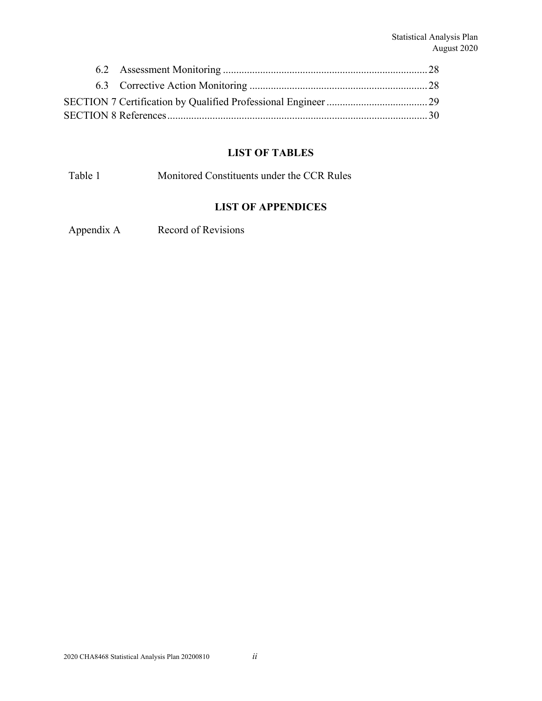# **LIST OF TABLES**

Table 1 Monitored Constituents under the CCR Rules

#### **LIST OF APPENDICES**

Appendix A Record of Revisions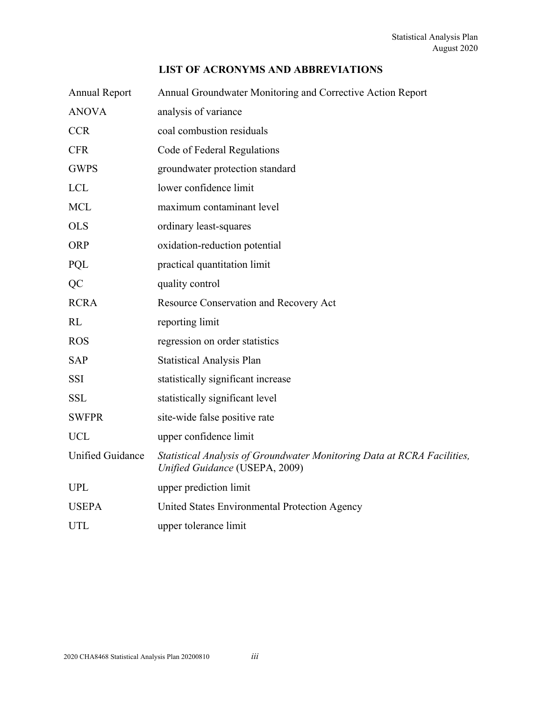#### **LIST OF ACRONYMS AND ABBREVIATIONS**

| <b>Annual Report</b>    | Annual Groundwater Monitoring and Corrective Action Report                                                |
|-------------------------|-----------------------------------------------------------------------------------------------------------|
| <b>ANOVA</b>            | analysis of variance                                                                                      |
| <b>CCR</b>              | coal combustion residuals                                                                                 |
| <b>CFR</b>              | Code of Federal Regulations                                                                               |
| <b>GWPS</b>             | groundwater protection standard                                                                           |
| <b>LCL</b>              | lower confidence limit                                                                                    |
| <b>MCL</b>              | maximum contaminant level                                                                                 |
| <b>OLS</b>              | ordinary least-squares                                                                                    |
| <b>ORP</b>              | oxidation-reduction potential                                                                             |
| PQL                     | practical quantitation limit                                                                              |
| QC                      | quality control                                                                                           |
| <b>RCRA</b>             | Resource Conservation and Recovery Act                                                                    |
| RL                      | reporting limit                                                                                           |
| <b>ROS</b>              | regression on order statistics                                                                            |
| <b>SAP</b>              | <b>Statistical Analysis Plan</b>                                                                          |
| <b>SSI</b>              | statistically significant increase                                                                        |
| <b>SSL</b>              | statistically significant level                                                                           |
| <b>SWFPR</b>            | site-wide false positive rate                                                                             |
| <b>UCL</b>              | upper confidence limit                                                                                    |
| <b>Unified Guidance</b> | Statistical Analysis of Groundwater Monitoring Data at RCRA Facilities,<br>Unified Guidance (USEPA, 2009) |
| <b>UPL</b>              | upper prediction limit                                                                                    |
| <b>USEPA</b>            | United States Environmental Protection Agency                                                             |
| <b>UTL</b>              | upper tolerance limit                                                                                     |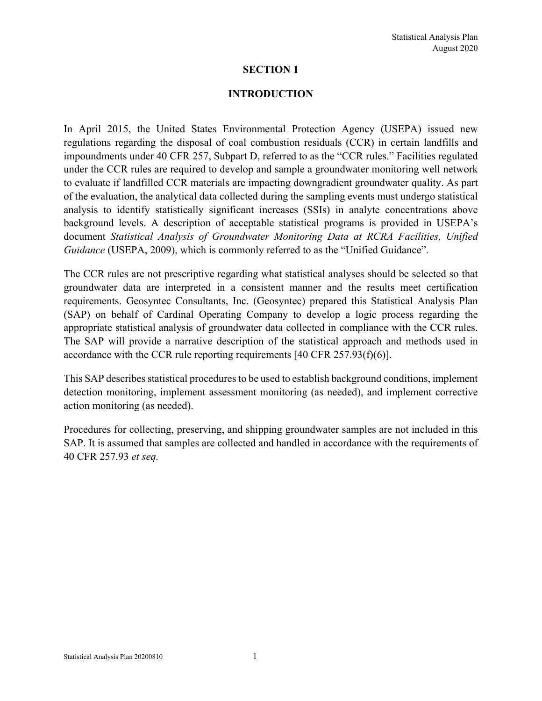#### **INTRODUCTION**

In April 2015, the United States Environmental Protection Agency (USEPA) issued new regulations regarding the disposal of coal combustion residuals (CCR) in certain landfills and impoundments under 40 CFR 257, Subpart D, referred to as the "CCR rules." Facilities regulated under the CCR rules are required to develop and sample a groundwater monitoring well network to evaluate if landfilled CCR materials are impacting downgradient groundwater quality. As part of the evaluation, the analytical data collected during the sampling events must undergo statistical analysis to identify statistically significant increases (SSIs) in analyte concentrations above background levels. A description of acceptable statistical programs is provided in USEPA's document *Statistical Analysis of Groundwater Monitoring Data at RCRA Facilities, Unified Guidance* (USEPA, 2009), which is commonly referred to as the "Unified Guidance".

The CCR rules are not prescriptive regarding what statistical analyses should be selected so that groundwater data are interpreted in a consistent manner and the results meet certification requirements. Geosyntec Consultants, Inc. (Geosyntec) prepared this Statistical Analysis Plan (SAP) on behalf of Cardinal Operating Company to develop a logic process regarding the appropriate statistical analysis of groundwater data collected in compliance with the CCR rules. The SAP will provide a narrative description of the statistical approach and methods used in accordance with the CCR rule reporting requirements [40 CFR 257.93(f)(6)].

This SAP describes statistical procedures to be used to establish background conditions, implement detection monitoring, implement assessment monitoring (as needed), and implement corrective action monitoring (as needed).

Procedures for collecting, preserving, and shipping groundwater samples are not included in this SAP. It is assumed that samples are collected and handled in accordance with the requirements of 40 CFR 257.93 *et seq.*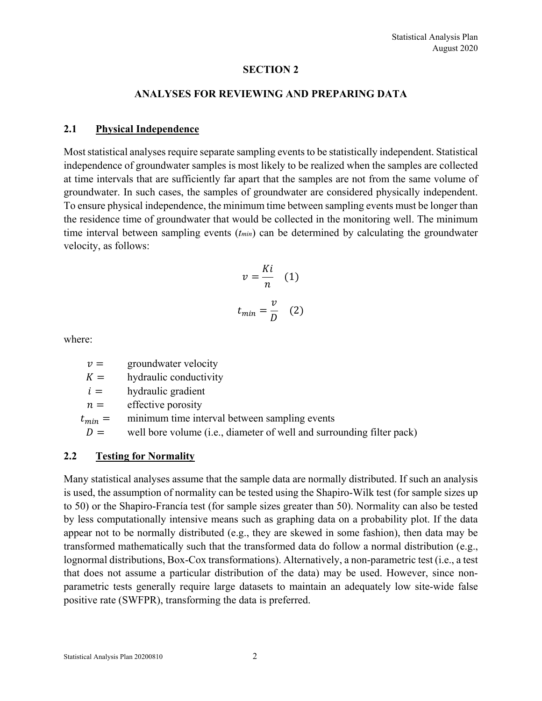#### **ANALYSES FOR REVIEWING AND PREPARING DATA**

#### **2.1 Physical Independence**

Most statistical analyses require separate sampling events to be statistically independent. Statistical independence of groundwater samples is most likely to be realized when the samples are collected at time intervals that are sufficiently far apart that the samples are not from the same volume of groundwater. In such cases, the samples of groundwater are considered physically independent. To ensure physical independence, the minimum time between sampling events must be longer than the residence time of groundwater that would be collected in the monitoring well. The minimum time interval between sampling events (*tmin*) can be determined by calculating the groundwater velocity, as follows:

$$
v = \frac{Ki}{n} \quad (1)
$$

$$
t_{min} = \frac{v}{D} \quad (2)
$$

where:

 $v =$  groundwater velocity

 $K =$  hydraulic conductivity

 $i =$  hydraulic gradient

 $n =$  effective porosity

 $t_{min}$  = minimum time interval between sampling events

 $D =$  well bore volume (i.e., diameter of well and surrounding filter pack)

#### **2.2 Testing for Normality**

Many statistical analyses assume that the sample data are normally distributed. If such an analysis is used, the assumption of normality can be tested using the Shapiro-Wilk test (for sample sizes up to 50) or the Shapiro-Francía test (for sample sizes greater than 50). Normality can also be tested by less computationally intensive means such as graphing data on a probability plot. If the data appear not to be normally distributed (e.g., they are skewed in some fashion), then data may be transformed mathematically such that the transformed data do follow a normal distribution (e.g., lognormal distributions, Box-Cox transformations). Alternatively, a non-parametric test (i.e., a test that does not assume a particular distribution of the data) may be used. However, since nonparametric tests generally require large datasets to maintain an adequately low site-wide false positive rate (SWFPR), transforming the data is preferred.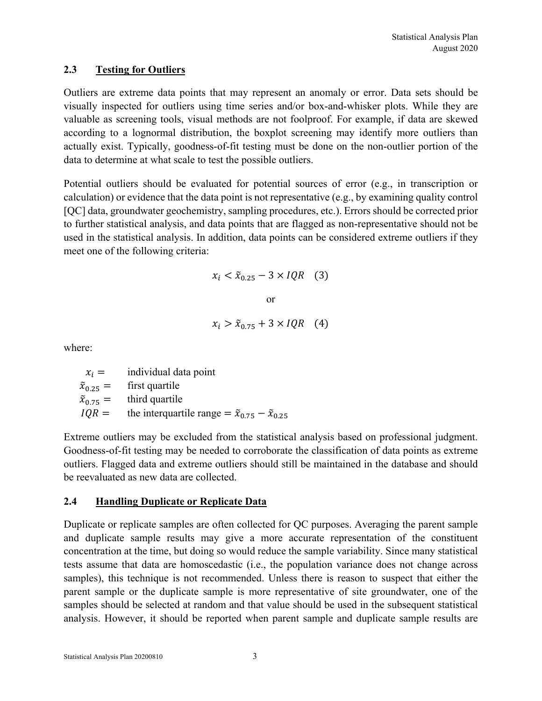#### **2.3 Testing for Outliers**

Outliers are extreme data points that may represent an anomaly or error. Data sets should be visually inspected for outliers using time series and/or box-and-whisker plots. While they are valuable as screening tools, visual methods are not foolproof. For example, if data are skewed according to a lognormal distribution, the boxplot screening may identify more outliers than actually exist. Typically, goodness-of-fit testing must be done on the non-outlier portion of the data to determine at what scale to test the possible outliers.

Potential outliers should be evaluated for potential sources of error (e.g., in transcription or calculation) or evidence that the data point is not representative (e.g., by examining quality control [QC] data, groundwater geochemistry, sampling procedures, etc.). Errors should be corrected prior to further statistical analysis, and data points that are flagged as non-representative should not be used in the statistical analysis. In addition, data points can be considered extreme outliers if they meet one of the following criteria:

$$
x_i < \tilde{x}_{0.25} - 3 \times IQR \quad (3)
$$
\nor

\n
$$
x_i > \tilde{x}_{0.75} + 3 \times IQR \quad (4)
$$

where:

 $x_i =$  individual data point  $\tilde{x}_{0,25}$  = first quartile  $\tilde{x}_{0.75}$  = third quartile  $IQR =$  the interquartile range  $= \tilde{x}_{0.75} - \tilde{x}_{0.25}$ 

Extreme outliers may be excluded from the statistical analysis based on professional judgment. Goodness-of-fit testing may be needed to corroborate the classification of data points as extreme outliers. Flagged data and extreme outliers should still be maintained in the database and should be reevaluated as new data are collected.

#### **2.4 Handling Duplicate or Replicate Data**

Duplicate or replicate samples are often collected for QC purposes. Averaging the parent sample and duplicate sample results may give a more accurate representation of the constituent concentration at the time, but doing so would reduce the sample variability. Since many statistical tests assume that data are homoscedastic (i.e., the population variance does not change across samples), this technique is not recommended. Unless there is reason to suspect that either the parent sample or the duplicate sample is more representative of site groundwater, one of the samples should be selected at random and that value should be used in the subsequent statistical analysis. However, it should be reported when parent sample and duplicate sample results are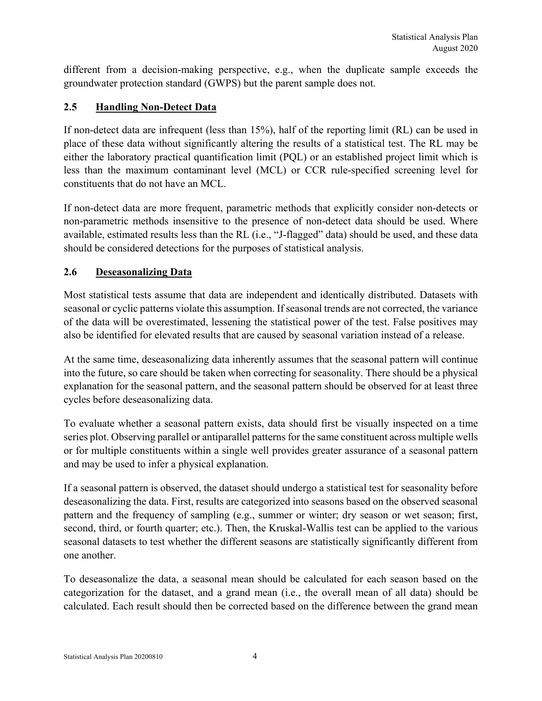different from a decision-making perspective, e.g., when the duplicate sample exceeds the groundwater protection standard (GWPS) but the parent sample does not.

# **2.5 Handling Non-Detect Data**

If non-detect data are infrequent (less than 15%), half of the reporting limit (RL) can be used in place of these data without significantly altering the results of a statistical test. The RL may be either the laboratory practical quantification limit (PQL) or an established project limit which is less than the maximum contaminant level (MCL) or CCR rule-specified screening level for constituents that do not have an MCL.

If non-detect data are more frequent, parametric methods that explicitly consider non-detects or non-parametric methods insensitive to the presence of non-detect data should be used. Where available, estimated results less than the RL (i.e., "J-flagged" data) should be used, and these data should be considered detections for the purposes of statistical analysis.

# **2.6 Deseasonalizing Data**

Most statistical tests assume that data are independent and identically distributed. Datasets with seasonal or cyclic patterns violate this assumption. If seasonal trends are not corrected, the variance of the data will be overestimated, lessening the statistical power of the test. False positives may also be identified for elevated results that are caused by seasonal variation instead of a release.

At the same time, deseasonalizing data inherently assumes that the seasonal pattern will continue into the future, so care should be taken when correcting for seasonality. There should be a physical explanation for the seasonal pattern, and the seasonal pattern should be observed for at least three cycles before deseasonalizing data.

To evaluate whether a seasonal pattern exists, data should first be visually inspected on a time series plot. Observing parallel or antiparallel patterns for the same constituent across multiple wells or for multiple constituents within a single well provides greater assurance of a seasonal pattern and may be used to infer a physical explanation.

If a seasonal pattern is observed, the dataset should undergo a statistical test for seasonality before deseasonalizing the data. First, results are categorized into seasons based on the observed seasonal pattern and the frequency of sampling (e.g., summer or winter; dry season or wet season; first, second, third, or fourth quarter; etc.). Then, the Kruskal-Wallis test can be applied to the various seasonal datasets to test whether the different seasons are statistically significantly different from one another.

To deseasonalize the data, a seasonal mean should be calculated for each season based on the categorization for the dataset, and a grand mean (i.e., the overall mean of all data) should be calculated. Each result should then be corrected based on the difference between the grand mean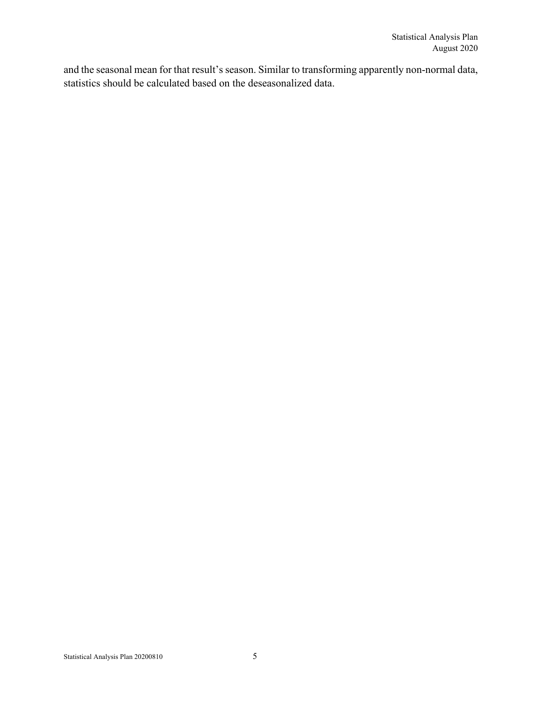and the seasonal mean for that result's season. Similar to transforming apparently non-normal data, statistics should be calculated based on the deseasonalized data.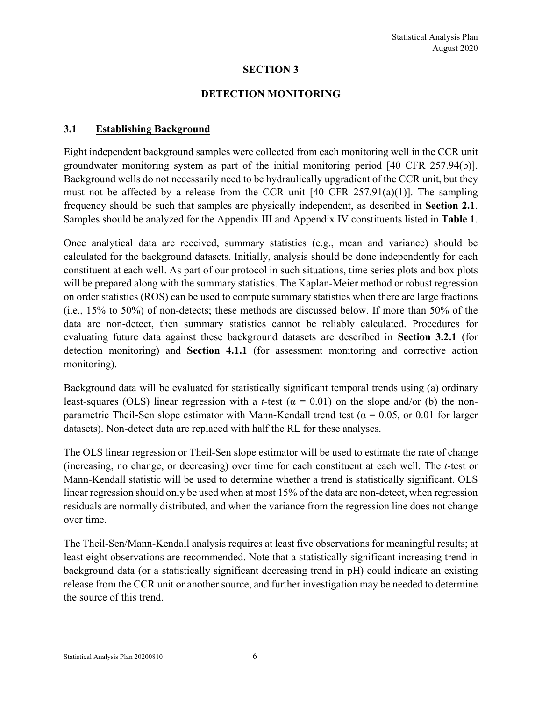#### **DETECTION MONITORING**

#### **3.1 Establishing Background**

Eight independent background samples were collected from each monitoring well in the CCR unit groundwater monitoring system as part of the initial monitoring period [40 CFR 257.94(b)]. Background wells do not necessarily need to be hydraulically upgradient of the CCR unit, but they must not be affected by a release from the CCR unit  $[40 \text{ CFR } 257.91(a)(1)]$ . The sampling frequency should be such that samples are physically independent, as described in **Section 2.1**. Samples should be analyzed for the Appendix III and Appendix IV constituents listed in **Table 1**.

Once analytical data are received, summary statistics (e.g., mean and variance) should be calculated for the background datasets. Initially, analysis should be done independently for each constituent at each well. As part of our protocol in such situations, time series plots and box plots will be prepared along with the summary statistics. The Kaplan-Meier method or robust regression on order statistics (ROS) can be used to compute summary statistics when there are large fractions (i.e., 15% to 50%) of non-detects; these methods are discussed below. If more than 50% of the data are non-detect, then summary statistics cannot be reliably calculated. Procedures for evaluating future data against these background datasets are described in **Section 3.2.1** (for detection monitoring) and **Section 4.1.1** (for assessment monitoring and corrective action monitoring).

Background data will be evaluated for statistically significant temporal trends using (a) ordinary least-squares (OLS) linear regression with a *t*-test ( $\alpha = 0.01$ ) on the slope and/or (b) the nonparametric Theil-Sen slope estimator with Mann-Kendall trend test ( $\alpha = 0.05$ , or 0.01 for larger datasets). Non-detect data are replaced with half the RL for these analyses.

The OLS linear regression or Theil-Sen slope estimator will be used to estimate the rate of change (increasing, no change, or decreasing) over time for each constituent at each well. The *t*-test or Mann-Kendall statistic will be used to determine whether a trend is statistically significant. OLS linear regression should only be used when at most 15% of the data are non-detect, when regression residuals are normally distributed, and when the variance from the regression line does not change over time.

The Theil-Sen/Mann-Kendall analysis requires at least five observations for meaningful results; at least eight observations are recommended. Note that a statistically significant increasing trend in background data (or a statistically significant decreasing trend in pH) could indicate an existing release from the CCR unit or another source, and further investigation may be needed to determine the source of this trend.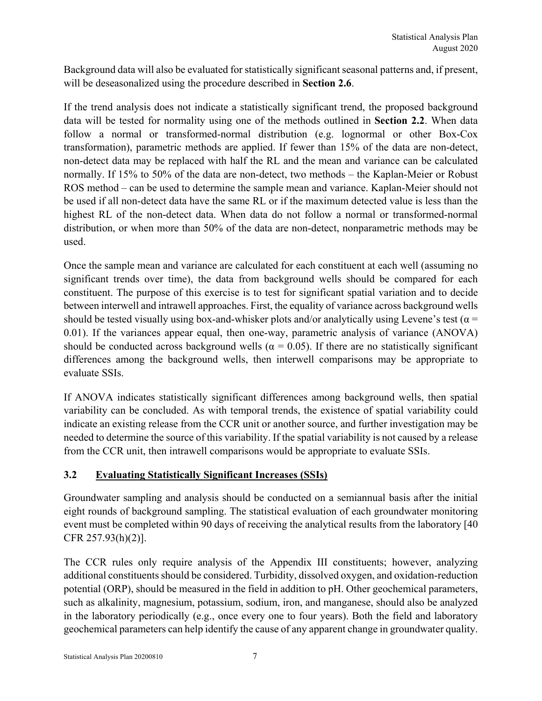Background data will also be evaluated for statistically significant seasonal patterns and, if present, will be deseasonalized using the procedure described in **Section 2.6**.

If the trend analysis does not indicate a statistically significant trend, the proposed background data will be tested for normality using one of the methods outlined in **Section 2.2**. When data follow a normal or transformed-normal distribution (e.g. lognormal or other Box-Cox transformation), parametric methods are applied. If fewer than 15% of the data are non-detect, non-detect data may be replaced with half the RL and the mean and variance can be calculated normally. If 15% to 50% of the data are non-detect, two methods – the Kaplan-Meier or Robust ROS method – can be used to determine the sample mean and variance. Kaplan-Meier should not be used if all non-detect data have the same RL or if the maximum detected value is less than the highest RL of the non-detect data. When data do not follow a normal or transformed-normal distribution, or when more than 50% of the data are non-detect, nonparametric methods may be used.

Once the sample mean and variance are calculated for each constituent at each well (assuming no significant trends over time), the data from background wells should be compared for each constituent. The purpose of this exercise is to test for significant spatial variation and to decide between interwell and intrawell approaches. First, the equality of variance across background wells should be tested visually using box-and-whisker plots and/or analytically using Levene's test ( $\alpha$  = 0.01). If the variances appear equal, then one-way, parametric analysis of variance (ANOVA) should be conducted across background wells ( $\alpha = 0.05$ ). If there are no statistically significant differences among the background wells, then interwell comparisons may be appropriate to evaluate SSIs.

If ANOVA indicates statistically significant differences among background wells, then spatial variability can be concluded. As with temporal trends, the existence of spatial variability could indicate an existing release from the CCR unit or another source, and further investigation may be needed to determine the source of this variability. If the spatial variability is not caused by a release from the CCR unit, then intrawell comparisons would be appropriate to evaluate SSIs.

# **3.2 Evaluating Statistically Significant Increases (SSIs)**

Groundwater sampling and analysis should be conducted on a semiannual basis after the initial eight rounds of background sampling. The statistical evaluation of each groundwater monitoring event must be completed within 90 days of receiving the analytical results from the laboratory [40 CFR 257.93(h)(2)].

The CCR rules only require analysis of the Appendix III constituents; however, analyzing additional constituents should be considered. Turbidity, dissolved oxygen, and oxidation-reduction potential (ORP), should be measured in the field in addition to pH. Other geochemical parameters, such as alkalinity, magnesium, potassium, sodium, iron, and manganese, should also be analyzed in the laboratory periodically (e.g., once every one to four years). Both the field and laboratory geochemical parameters can help identify the cause of any apparent change in groundwater quality.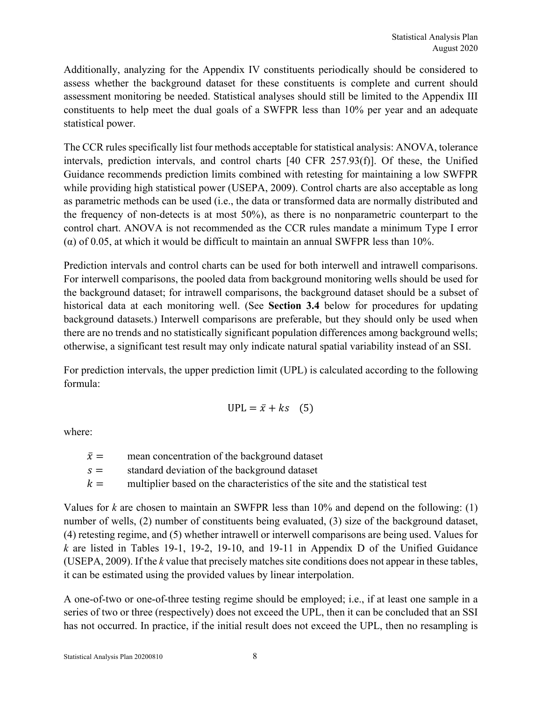Additionally, analyzing for the Appendix IV constituents periodically should be considered to assess whether the background dataset for these constituents is complete and current should assessment monitoring be needed. Statistical analyses should still be limited to the Appendix III constituents to help meet the dual goals of a SWFPR less than 10% per year and an adequate statistical power.

The CCR rules specifically list four methods acceptable for statistical analysis: ANOVA, tolerance intervals, prediction intervals, and control charts [40 CFR 257.93(f)]. Of these, the Unified Guidance recommends prediction limits combined with retesting for maintaining a low SWFPR while providing high statistical power (USEPA, 2009). Control charts are also acceptable as long as parametric methods can be used (i.e., the data or transformed data are normally distributed and the frequency of non-detects is at most 50%), as there is no nonparametric counterpart to the control chart. ANOVA is not recommended as the CCR rules mandate a minimum Type I error (α) of 0.05, at which it would be difficult to maintain an annual SWFPR less than 10%.

Prediction intervals and control charts can be used for both interwell and intrawell comparisons. For interwell comparisons, the pooled data from background monitoring wells should be used for the background dataset; for intrawell comparisons, the background dataset should be a subset of historical data at each monitoring well. (See **Section 3.4** below for procedures for updating background datasets.) Interwell comparisons are preferable, but they should only be used when there are no trends and no statistically significant population differences among background wells; otherwise, a significant test result may only indicate natural spatial variability instead of an SSI.

For prediction intervals, the upper prediction limit (UPL) is calculated according to the following formula:

$$
UPL = \bar{x} + ks \quad (5)
$$

where:

| $\bar{x} =$ | mean concentration of the background dataset                                 |
|-------------|------------------------------------------------------------------------------|
| $S =$       | standard deviation of the background dataset                                 |
| $k =$       | multiplier based on the characteristics of the site and the statistical test |

Values for *k* are chosen to maintain an SWFPR less than 10% and depend on the following: (1) number of wells, (2) number of constituents being evaluated, (3) size of the background dataset, (4) retesting regime, and (5) whether intrawell or interwell comparisons are being used. Values for *k* are listed in Tables 19-1, 19-2, 19-10, and 19-11 in Appendix D of the Unified Guidance (USEPA, 2009). If the *k* value that precisely matches site conditions does not appear in these tables, it can be estimated using the provided values by linear interpolation.

A one-of-two or one-of-three testing regime should be employed; i.e., if at least one sample in a series of two or three (respectively) does not exceed the UPL, then it can be concluded that an SSI has not occurred. In practice, if the initial result does not exceed the UPL, then no resampling is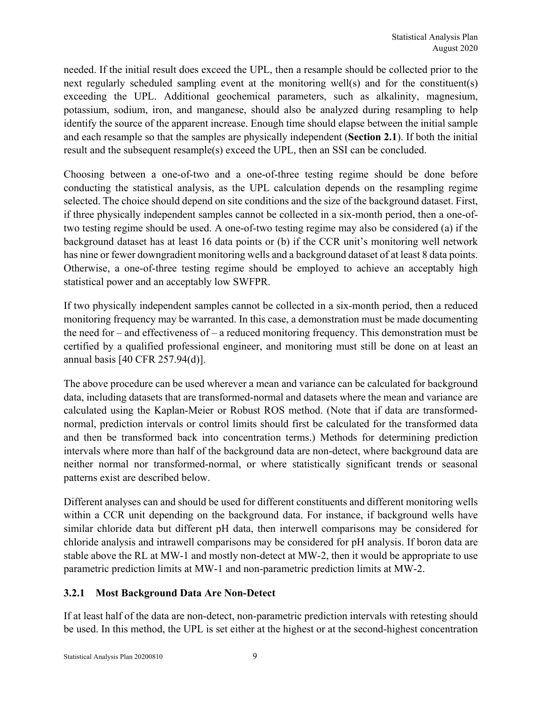needed. If the initial result does exceed the UPL, then a resample should be collected prior to the next regularly scheduled sampling event at the monitoring well(s) and for the constituent(s) exceeding the UPL. Additional geochemical parameters, such as alkalinity, magnesium, potassium, sodium, iron, and manganese, should also be analyzed during resampling to help identify the source of the apparent increase. Enough time should elapse between the initial sample and each resample so that the samples are physically independent (**Section 2.1**). If both the initial result and the subsequent resample(s) exceed the UPL, then an SSI can be concluded.

Choosing between a one-of-two and a one-of-three testing regime should be done before conducting the statistical analysis, as the UPL calculation depends on the resampling regime selected. The choice should depend on site conditions and the size of the background dataset. First, if three physically independent samples cannot be collected in a six-month period, then a one-oftwo testing regime should be used. A one-of-two testing regime may also be considered (a) if the background dataset has at least 16 data points or (b) if the CCR unit's monitoring well network has nine or fewer downgradient monitoring wells and a background dataset of at least 8 data points. Otherwise, a one-of-three testing regime should be employed to achieve an acceptably high statistical power and an acceptably low SWFPR.

If two physically independent samples cannot be collected in a six-month period, then a reduced monitoring frequency may be warranted. In this case, a demonstration must be made documenting the need for – and effectiveness of – a reduced monitoring frequency. This demonstration must be certified by a qualified professional engineer, and monitoring must still be done on at least an annual basis [40 CFR 257.94(d)].

The above procedure can be used wherever a mean and variance can be calculated for background data, including datasets that are transformed-normal and datasets where the mean and variance are calculated using the Kaplan-Meier or Robust ROS method. (Note that if data are transformednormal, prediction intervals or control limits should first be calculated for the transformed data and then be transformed back into concentration terms.) Methods for determining prediction intervals where more than half of the background data are non-detect, where background data are neither normal nor transformed-normal, or where statistically significant trends or seasonal patterns exist are described below.

Different analyses can and should be used for different constituents and different monitoring wells within a CCR unit depending on the background data. For instance, if background wells have similar chloride data but different pH data, then interwell comparisons may be considered for chloride analysis and intrawell comparisons may be considered for pH analysis. If boron data are stable above the RL at MW-1 and mostly non-detect at MW-2, then it would be appropriate to use parametric prediction limits at MW-1 and non-parametric prediction limits at MW-2.

# **3.2.1 Most Background Data Are Non-Detect**

If at least half of the data are non-detect, non-parametric prediction intervals with retesting should be used. In this method, the UPL is set either at the highest or at the second-highest concentration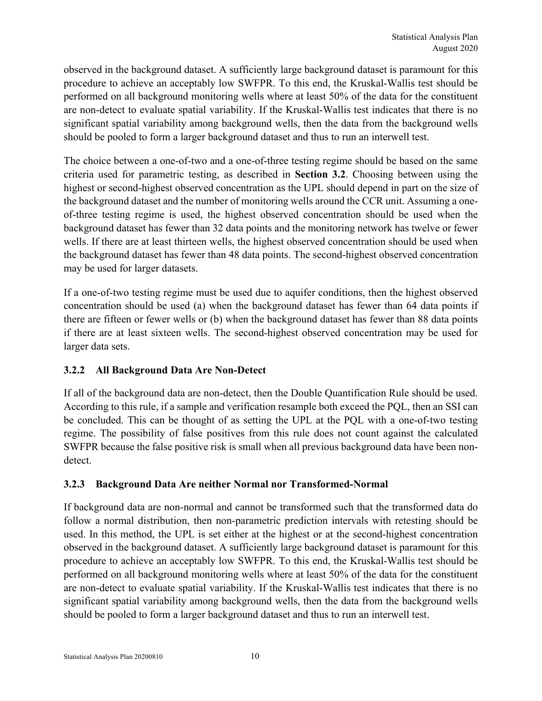observed in the background dataset. A sufficiently large background dataset is paramount for this procedure to achieve an acceptably low SWFPR. To this end, the Kruskal-Wallis test should be performed on all background monitoring wells where at least 50% of the data for the constituent are non-detect to evaluate spatial variability. If the Kruskal-Wallis test indicates that there is no significant spatial variability among background wells, then the data from the background wells should be pooled to form a larger background dataset and thus to run an interwell test.

The choice between a one-of-two and a one-of-three testing regime should be based on the same criteria used for parametric testing, as described in **Section 3.2**. Choosing between using the highest or second-highest observed concentration as the UPL should depend in part on the size of the background dataset and the number of monitoring wells around the CCR unit. Assuming a oneof-three testing regime is used, the highest observed concentration should be used when the background dataset has fewer than 32 data points and the monitoring network has twelve or fewer wells. If there are at least thirteen wells, the highest observed concentration should be used when the background dataset has fewer than 48 data points. The second-highest observed concentration may be used for larger datasets.

If a one-of-two testing regime must be used due to aquifer conditions, then the highest observed concentration should be used (a) when the background dataset has fewer than 64 data points if there are fifteen or fewer wells or (b) when the background dataset has fewer than 88 data points if there are at least sixteen wells. The second-highest observed concentration may be used for larger data sets.

# **3.2.2 All Background Data Are Non-Detect**

If all of the background data are non-detect, then the Double Quantification Rule should be used. According to this rule, if a sample and verification resample both exceed the PQL, then an SSI can be concluded. This can be thought of as setting the UPL at the PQL with a one-of-two testing regime. The possibility of false positives from this rule does not count against the calculated SWFPR because the false positive risk is small when all previous background data have been nondetect.

# **3.2.3 Background Data Are neither Normal nor Transformed-Normal**

If background data are non-normal and cannot be transformed such that the transformed data do follow a normal distribution, then non-parametric prediction intervals with retesting should be used. In this method, the UPL is set either at the highest or at the second-highest concentration observed in the background dataset. A sufficiently large background dataset is paramount for this procedure to achieve an acceptably low SWFPR. To this end, the Kruskal-Wallis test should be performed on all background monitoring wells where at least 50% of the data for the constituent are non-detect to evaluate spatial variability. If the Kruskal-Wallis test indicates that there is no significant spatial variability among background wells, then the data from the background wells should be pooled to form a larger background dataset and thus to run an interwell test.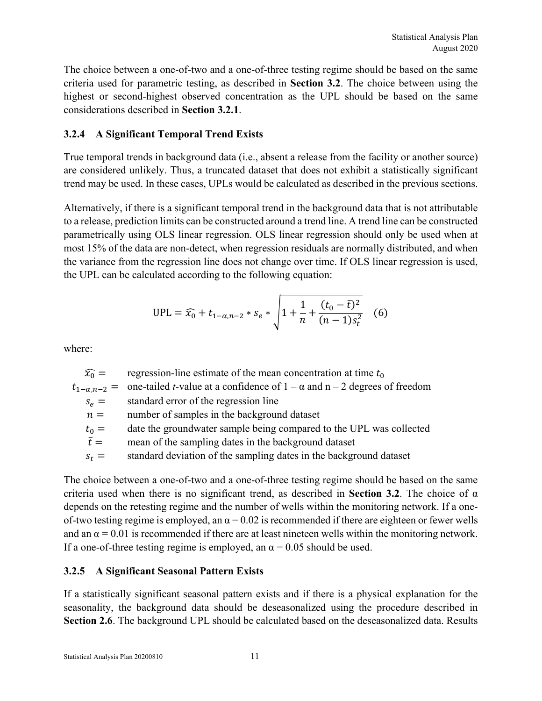The choice between a one-of-two and a one-of-three testing regime should be based on the same criteria used for parametric testing, as described in **Section 3.2**. The choice between using the highest or second-highest observed concentration as the UPL should be based on the same considerations described in **Section 3.2.1**.

# **3.2.4 A Significant Temporal Trend Exists**

True temporal trends in background data (i.e., absent a release from the facility or another source) are considered unlikely. Thus, a truncated dataset that does not exhibit a statistically significant trend may be used. In these cases, UPLs would be calculated as described in the previous sections.

Alternatively, if there is a significant temporal trend in the background data that is not attributable to a release, prediction limits can be constructed around a trend line. A trend line can be constructed parametrically using OLS linear regression. OLS linear regression should only be used when at most 15% of the data are non-detect, when regression residuals are normally distributed, and when the variance from the regression line does not change over time. If OLS linear regression is used, the UPL can be calculated according to the following equation:

$$
UPL = \widehat{x_0} + t_{1-\alpha,n-2} * s_e * \sqrt{1 + \frac{1}{n} + \frac{(t_0 - \bar{t})^2}{(n-1)s_t^2}} \quad (6)
$$

where:

 $\widehat{x_0}$  = regression-line estimate of the mean concentration at time  $t_0$  $t_{1-\alpha,n-2}$  = one-tailed *t*-value at a confidence of  $1-\alpha$  and  $n-2$  degrees of freedom  $s_e$  = standard error of the regression line  $n =$  number of samples in the background dataset  $t_0$  = date the groundwater sample being compared to the UPL was collected  $\bar{t}$  = mean of the sampling dates in the background dataset  $s_t$  = standard deviation of the sampling dates in the background dataset

The choice between a one-of-two and a one-of-three testing regime should be based on the same criteria used when there is no significant trend, as described in **Section 3.2**. The choice of α depends on the retesting regime and the number of wells within the monitoring network. If a oneof-two testing regime is employed, an  $\alpha = 0.02$  is recommended if there are eighteen or fewer wells and an  $\alpha$  = 0.01 is recommended if there are at least nineteen wells within the monitoring network. If a one-of-three testing regime is employed, an  $\alpha$  = 0.05 should be used.

# **3.2.5 A Significant Seasonal Pattern Exists**

If a statistically significant seasonal pattern exists and if there is a physical explanation for the seasonality, the background data should be deseasonalized using the procedure described in **Section 2.6**. The background UPL should be calculated based on the deseasonalized data. Results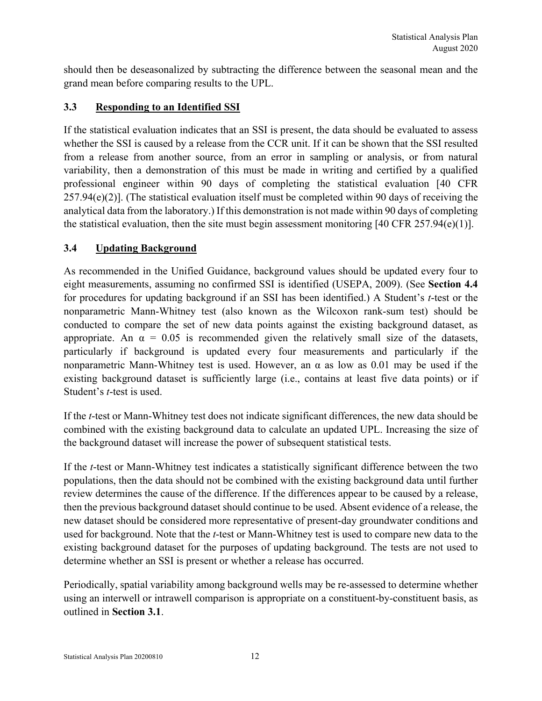should then be deseasonalized by subtracting the difference between the seasonal mean and the grand mean before comparing results to the UPL.

# **3.3 Responding to an Identified SSI**

If the statistical evaluation indicates that an SSI is present, the data should be evaluated to assess whether the SSI is caused by a release from the CCR unit. If it can be shown that the SSI resulted from a release from another source, from an error in sampling or analysis, or from natural variability, then a demonstration of this must be made in writing and certified by a qualified professional engineer within 90 days of completing the statistical evaluation [40 CFR  $257.94(e)(2)$ . (The statistical evaluation itself must be completed within 90 days of receiving the analytical data from the laboratory.) If this demonstration is not made within 90 days of completing the statistical evaluation, then the site must begin assessment monitoring [40 CFR 257.94(e)(1)].

#### **3.4 Updating Background**

As recommended in the Unified Guidance, background values should be updated every four to eight measurements, assuming no confirmed SSI is identified (USEPA, 2009). (See **Section 4.4** for procedures for updating background if an SSI has been identified.) A Student's *t*-test or the nonparametric Mann-Whitney test (also known as the Wilcoxon rank-sum test) should be conducted to compare the set of new data points against the existing background dataset, as appropriate. An  $\alpha = 0.05$  is recommended given the relatively small size of the datasets, particularly if background is updated every four measurements and particularly if the nonparametric Mann-Whitney test is used. However, an α as low as 0.01 may be used if the existing background dataset is sufficiently large (i.e., contains at least five data points) or if Student's *t*-test is used.

If the *t*-test or Mann-Whitney test does not indicate significant differences, the new data should be combined with the existing background data to calculate an updated UPL. Increasing the size of the background dataset will increase the power of subsequent statistical tests.

If the *t*-test or Mann-Whitney test indicates a statistically significant difference between the two populations, then the data should not be combined with the existing background data until further review determines the cause of the difference. If the differences appear to be caused by a release, then the previous background dataset should continue to be used. Absent evidence of a release, the new dataset should be considered more representative of present-day groundwater conditions and used for background. Note that the *t*-test or Mann-Whitney test is used to compare new data to the existing background dataset for the purposes of updating background. The tests are not used to determine whether an SSI is present or whether a release has occurred.

Periodically, spatial variability among background wells may be re-assessed to determine whether using an interwell or intrawell comparison is appropriate on a constituent-by-constituent basis, as outlined in **Section 3.1**.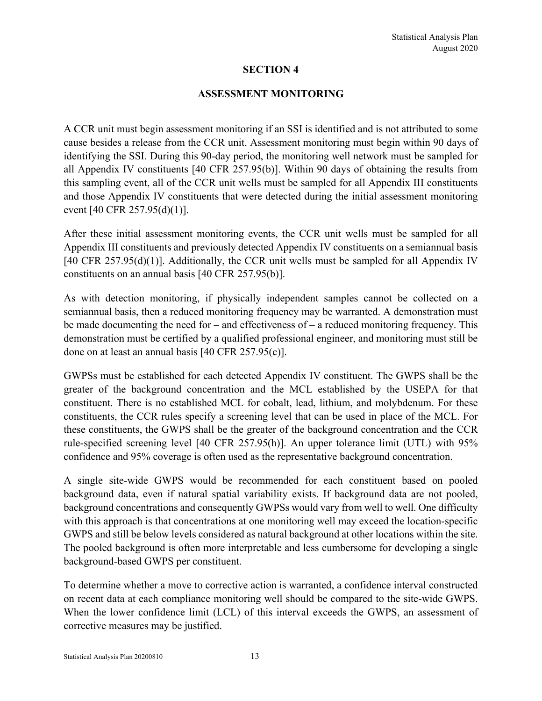#### **ASSESSMENT MONITORING**

A CCR unit must begin assessment monitoring if an SSI is identified and is not attributed to some cause besides a release from the CCR unit. Assessment monitoring must begin within 90 days of identifying the SSI. During this 90-day period, the monitoring well network must be sampled for all Appendix IV constituents [40 CFR 257.95(b)]. Within 90 days of obtaining the results from this sampling event, all of the CCR unit wells must be sampled for all Appendix III constituents and those Appendix IV constituents that were detected during the initial assessment monitoring event [40 CFR 257.95(d)(1)].

After these initial assessment monitoring events, the CCR unit wells must be sampled for all Appendix III constituents and previously detected Appendix IV constituents on a semiannual basis [40 CFR 257.95(d)(1)]. Additionally, the CCR unit wells must be sampled for all Appendix IV constituents on an annual basis [40 CFR 257.95(b)].

As with detection monitoring, if physically independent samples cannot be collected on a semiannual basis, then a reduced monitoring frequency may be warranted. A demonstration must be made documenting the need for – and effectiveness of – a reduced monitoring frequency. This demonstration must be certified by a qualified professional engineer, and monitoring must still be done on at least an annual basis [40 CFR 257.95(c)].

GWPSs must be established for each detected Appendix IV constituent. The GWPS shall be the greater of the background concentration and the MCL established by the USEPA for that constituent. There is no established MCL for cobalt, lead, lithium, and molybdenum. For these constituents, the CCR rules specify a screening level that can be used in place of the MCL. For these constituents, the GWPS shall be the greater of the background concentration and the CCR rule-specified screening level [40 CFR 257.95(h)]. An upper tolerance limit (UTL) with 95% confidence and 95% coverage is often used as the representative background concentration.

A single site-wide GWPS would be recommended for each constituent based on pooled background data, even if natural spatial variability exists. If background data are not pooled, background concentrations and consequently GWPSs would vary from well to well. One difficulty with this approach is that concentrations at one monitoring well may exceed the location-specific GWPS and still be below levels considered as natural background at other locations within the site. The pooled background is often more interpretable and less cumbersome for developing a single background-based GWPS per constituent.

To determine whether a move to corrective action is warranted, a confidence interval constructed on recent data at each compliance monitoring well should be compared to the site-wide GWPS. When the lower confidence limit (LCL) of this interval exceeds the GWPS, an assessment of corrective measures may be justified.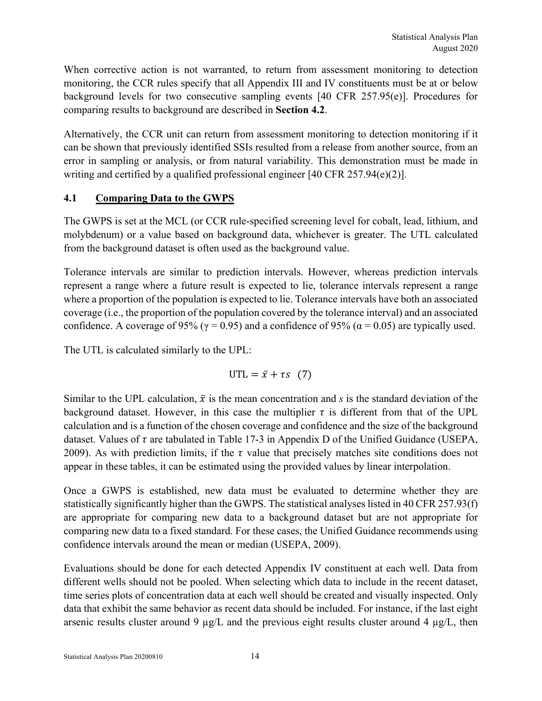When corrective action is not warranted, to return from assessment monitoring to detection monitoring, the CCR rules specify that all Appendix III and IV constituents must be at or below background levels for two consecutive sampling events [40 CFR 257.95(e)]. Procedures for comparing results to background are described in **Section 4.2**.

Alternatively, the CCR unit can return from assessment monitoring to detection monitoring if it can be shown that previously identified SSIs resulted from a release from another source, from an error in sampling or analysis, or from natural variability. This demonstration must be made in writing and certified by a qualified professional engineer [40 CFR 257.94(e)(2)].

# **4.1 Comparing Data to the GWPS**

The GWPS is set at the MCL (or CCR rule-specified screening level for cobalt, lead, lithium, and molybdenum) or a value based on background data, whichever is greater. The UTL calculated from the background dataset is often used as the background value.

Tolerance intervals are similar to prediction intervals. However, whereas prediction intervals represent a range where a future result is expected to lie, tolerance intervals represent a range where a proportion of the population is expected to lie. Tolerance intervals have both an associated coverage (i.e., the proportion of the population covered by the tolerance interval) and an associated confidence. A coverage of 95% ( $\gamma$  = 0.95) and a confidence of 95% ( $\alpha$  = 0.05) are typically used.

The UTL is calculated similarly to the UPL:

 $UTL = \bar{x} + \tau s$  (7)

Similar to the UPL calculation,  $\bar{x}$  is the mean concentration and *s* is the standard deviation of the background dataset. However, in this case the multiplier  $\tau$  is different from that of the UPL calculation and is a function of the chosen coverage and confidence and the size of the background dataset. Values of  $\tau$  are tabulated in Table 17-3 in Appendix D of the Unified Guidance (USEPA, 2009). As with prediction limits, if the  $\tau$  value that precisely matches site conditions does not appear in these tables, it can be estimated using the provided values by linear interpolation.

Once a GWPS is established, new data must be evaluated to determine whether they are statistically significantly higher than the GWPS. The statistical analyses listed in 40 CFR 257.93(f) are appropriate for comparing new data to a background dataset but are not appropriate for comparing new data to a fixed standard. For these cases, the Unified Guidance recommends using confidence intervals around the mean or median (USEPA, 2009).

Evaluations should be done for each detected Appendix IV constituent at each well. Data from different wells should not be pooled. When selecting which data to include in the recent dataset, time series plots of concentration data at each well should be created and visually inspected. Only data that exhibit the same behavior as recent data should be included. For instance, if the last eight arsenic results cluster around 9  $\mu$ g/L and the previous eight results cluster around 4  $\mu$ g/L, then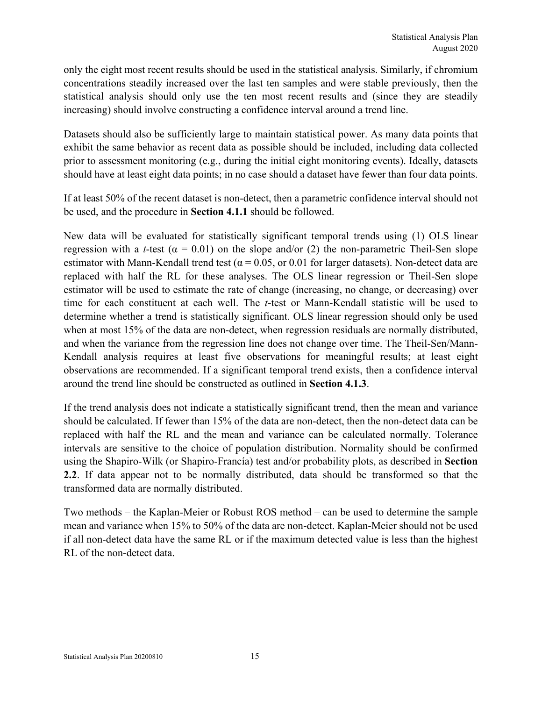only the eight most recent results should be used in the statistical analysis. Similarly, if chromium concentrations steadily increased over the last ten samples and were stable previously, then the statistical analysis should only use the ten most recent results and (since they are steadily increasing) should involve constructing a confidence interval around a trend line.

Datasets should also be sufficiently large to maintain statistical power. As many data points that exhibit the same behavior as recent data as possible should be included, including data collected prior to assessment monitoring (e.g., during the initial eight monitoring events). Ideally, datasets should have at least eight data points; in no case should a dataset have fewer than four data points.

If at least 50% of the recent dataset is non-detect, then a parametric confidence interval should not be used, and the procedure in **Section 4.1.1** should be followed.

New data will be evaluated for statistically significant temporal trends using (1) OLS linear regression with a *t*-test ( $\alpha = 0.01$ ) on the slope and/or (2) the non-parametric Theil-Sen slope estimator with Mann-Kendall trend test ( $\alpha$  = 0.05, or 0.01 for larger datasets). Non-detect data are replaced with half the RL for these analyses. The OLS linear regression or Theil-Sen slope estimator will be used to estimate the rate of change (increasing, no change, or decreasing) over time for each constituent at each well. The *t*-test or Mann-Kendall statistic will be used to determine whether a trend is statistically significant. OLS linear regression should only be used when at most 15% of the data are non-detect, when regression residuals are normally distributed, and when the variance from the regression line does not change over time. The Theil-Sen/Mann-Kendall analysis requires at least five observations for meaningful results; at least eight observations are recommended. If a significant temporal trend exists, then a confidence interval around the trend line should be constructed as outlined in **Section 4.1.3**.

If the trend analysis does not indicate a statistically significant trend, then the mean and variance should be calculated. If fewer than 15% of the data are non-detect, then the non-detect data can be replaced with half the RL and the mean and variance can be calculated normally. Tolerance intervals are sensitive to the choice of population distribution. Normality should be confirmed using the Shapiro-Wilk (or Shapiro-Francía) test and/or probability plots, as described in **Section 2.2**. If data appear not to be normally distributed, data should be transformed so that the transformed data are normally distributed.

Two methods – the Kaplan-Meier or Robust ROS method – can be used to determine the sample mean and variance when 15% to 50% of the data are non-detect. Kaplan-Meier should not be used if all non-detect data have the same RL or if the maximum detected value is less than the highest RL of the non-detect data.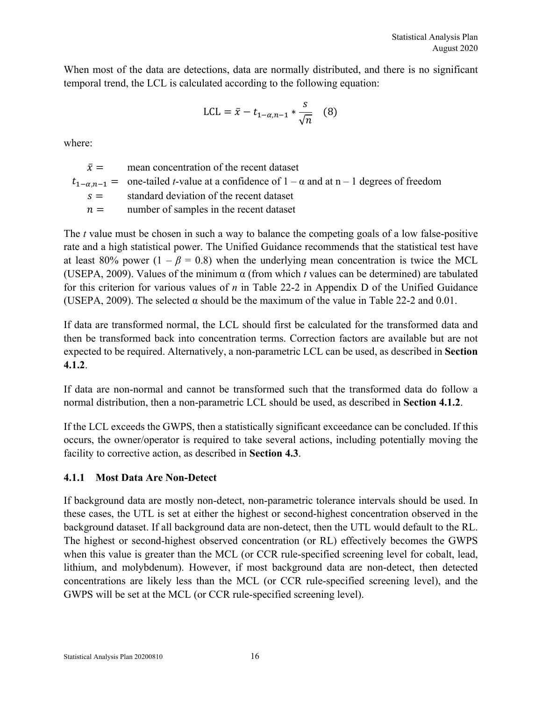When most of the data are detections, data are normally distributed, and there is no significant temporal trend, the LCL is calculated according to the following equation:

$$
LCL = \bar{x} - t_{1-\alpha, n-1} * \frac{s}{\sqrt{n}} \quad (8)
$$

where:

 $\bar{x}$  = mean concentration of the recent dataset  $t_{1-\alpha}$   $n-1$  = one-tailed *t*-value at a confidence of  $1-\alpha$  and at n – 1 degrees of freedom  $s =$  standard deviation of the recent dataset  $n =$  number of samples in the recent dataset

The *t* value must be chosen in such a way to balance the competing goals of a low false-positive rate and a high statistical power. The Unified Guidance recommends that the statistical test have at least 80% power  $(1 - \beta = 0.8)$  when the underlying mean concentration is twice the MCL (USEPA, 2009). Values of the minimum  $\alpha$  (from which *t* values can be determined) are tabulated for this criterion for various values of *n* in Table 22-2 in Appendix D of the Unified Guidance (USEPA, 2009). The selected  $\alpha$  should be the maximum of the value in Table 22-2 and 0.01.

If data are transformed normal, the LCL should first be calculated for the transformed data and then be transformed back into concentration terms. Correction factors are available but are not expected to be required. Alternatively, a non-parametric LCL can be used, as described in **Section 4.1.2**.

If data are non-normal and cannot be transformed such that the transformed data do follow a normal distribution, then a non-parametric LCL should be used, as described in **Section 4.1.2**.

If the LCL exceeds the GWPS, then a statistically significant exceedance can be concluded. If this occurs, the owner/operator is required to take several actions, including potentially moving the facility to corrective action, as described in **Section 4.3**.

# **4.1.1 Most Data Are Non-Detect**

If background data are mostly non-detect, non-parametric tolerance intervals should be used. In these cases, the UTL is set at either the highest or second-highest concentration observed in the background dataset. If all background data are non-detect, then the UTL would default to the RL. The highest or second-highest observed concentration (or RL) effectively becomes the GWPS when this value is greater than the MCL (or CCR rule-specified screening level for cobalt, lead, lithium, and molybdenum). However, if most background data are non-detect, then detected concentrations are likely less than the MCL (or CCR rule-specified screening level), and the GWPS will be set at the MCL (or CCR rule-specified screening level).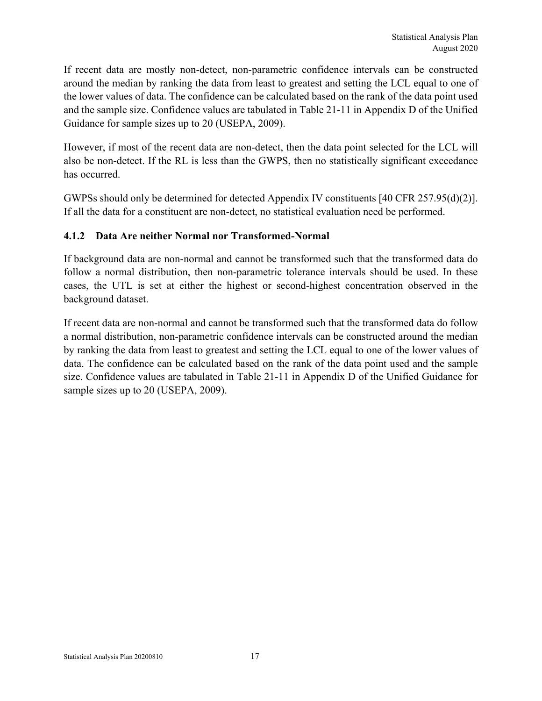If recent data are mostly non-detect, non-parametric confidence intervals can be constructed around the median by ranking the data from least to greatest and setting the LCL equal to one of the lower values of data. The confidence can be calculated based on the rank of the data point used and the sample size. Confidence values are tabulated in Table 21-11 in Appendix D of the Unified Guidance for sample sizes up to 20 (USEPA, 2009).

However, if most of the recent data are non-detect, then the data point selected for the LCL will also be non-detect. If the RL is less than the GWPS, then no statistically significant exceedance has occurred.

GWPSs should only be determined for detected Appendix IV constituents [40 CFR 257.95(d)(2)]. If all the data for a constituent are non-detect, no statistical evaluation need be performed.

# **4.1.2 Data Are neither Normal nor Transformed-Normal**

If background data are non-normal and cannot be transformed such that the transformed data do follow a normal distribution, then non-parametric tolerance intervals should be used. In these cases, the UTL is set at either the highest or second-highest concentration observed in the background dataset.

If recent data are non-normal and cannot be transformed such that the transformed data do follow a normal distribution, non-parametric confidence intervals can be constructed around the median by ranking the data from least to greatest and setting the LCL equal to one of the lower values of data. The confidence can be calculated based on the rank of the data point used and the sample size. Confidence values are tabulated in Table 21-11 in Appendix D of the Unified Guidance for sample sizes up to 20 (USEPA, 2009).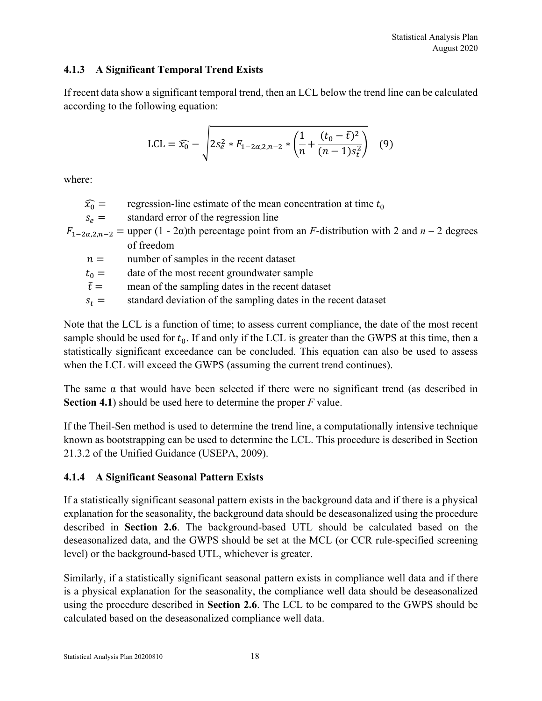#### **4.1.3 A Significant Temporal Trend Exists**

If recent data show a significant temporal trend, then an LCL below the trend line can be calculated according to the following equation:

$$
LCL = \widehat{x_0} - \sqrt{2s_e^2 * F_{1-2\alpha,2,n-2} * \left(\frac{1}{n} + \frac{(t_0 - \bar{t})^2}{(n-1)s_t^2}\right)} \quad (9)
$$

where:

 $\widehat{x_0}$  = regression-line estimate of the mean concentration at time  $t_0$ 

 $s_e$  = standard error of the regression line

 $F_{1-2\alpha,2,n-2}$  = upper (1 - 2 $\alpha$ )th percentage point from an *F*-distribution with 2 and *n* – 2 degrees of freedom

 $n =$  number of samples in the recent dataset

 $t_0$  = date of the most recent groundwater sample

 $\bar{t}$  = mean of the sampling dates in the recent dataset

 $s_t$  = standard deviation of the sampling dates in the recent dataset

Note that the LCL is a function of time; to assess current compliance, the date of the most recent sample should be used for  $t_0$ . If and only if the LCL is greater than the GWPS at this time, then a statistically significant exceedance can be concluded. This equation can also be used to assess when the LCL will exceed the GWPS (assuming the current trend continues).

The same  $\alpha$  that would have been selected if there were no significant trend (as described in **Section 4.1**) should be used here to determine the proper *F* value.

If the Theil-Sen method is used to determine the trend line, a computationally intensive technique known as bootstrapping can be used to determine the LCL. This procedure is described in Section 21.3.2 of the Unified Guidance (USEPA, 2009).

# **4.1.4 A Significant Seasonal Pattern Exists**

If a statistically significant seasonal pattern exists in the background data and if there is a physical explanation for the seasonality, the background data should be deseasonalized using the procedure described in **Section 2.6**. The background-based UTL should be calculated based on the deseasonalized data, and the GWPS should be set at the MCL (or CCR rule-specified screening level) or the background-based UTL, whichever is greater.

Similarly, if a statistically significant seasonal pattern exists in compliance well data and if there is a physical explanation for the seasonality, the compliance well data should be deseasonalized using the procedure described in **Section 2.6**. The LCL to be compared to the GWPS should be calculated based on the deseasonalized compliance well data.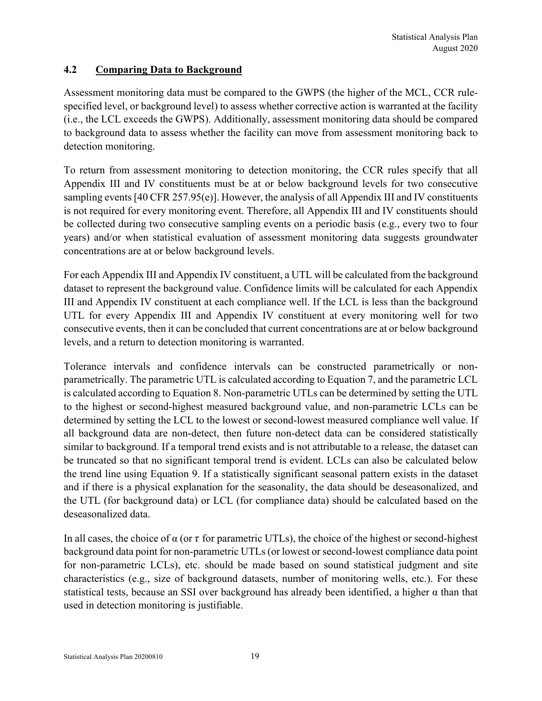#### **4.2 Comparing Data to Background**

Assessment monitoring data must be compared to the GWPS (the higher of the MCL, CCR rulespecified level, or background level) to assess whether corrective action is warranted at the facility (i.e., the LCL exceeds the GWPS). Additionally, assessment monitoring data should be compared to background data to assess whether the facility can move from assessment monitoring back to detection monitoring.

To return from assessment monitoring to detection monitoring, the CCR rules specify that all Appendix III and IV constituents must be at or below background levels for two consecutive sampling events [40 CFR 257.95(e)]. However, the analysis of all Appendix III and IV constituents is not required for every monitoring event. Therefore, all Appendix III and IV constituents should be collected during two consecutive sampling events on a periodic basis (e.g., every two to four years) and/or when statistical evaluation of assessment monitoring data suggests groundwater concentrations are at or below background levels.

For each Appendix III and Appendix IV constituent, a UTL will be calculated from the background dataset to represent the background value. Confidence limits will be calculated for each Appendix III and Appendix IV constituent at each compliance well. If the LCL is less than the background UTL for every Appendix III and Appendix IV constituent at every monitoring well for two consecutive events, then it can be concluded that current concentrations are at or below background levels, and a return to detection monitoring is warranted.

Tolerance intervals and confidence intervals can be constructed parametrically or nonparametrically. The parametric UTL is calculated according to Equation 7, and the parametric LCL is calculated according to Equation 8. Non-parametric UTLs can be determined by setting the UTL to the highest or second-highest measured background value, and non-parametric LCLs can be determined by setting the LCL to the lowest or second-lowest measured compliance well value. If all background data are non-detect, then future non-detect data can be considered statistically similar to background. If a temporal trend exists and is not attributable to a release, the dataset can be truncated so that no significant temporal trend is evident. LCLs can also be calculated below the trend line using Equation 9. If a statistically significant seasonal pattern exists in the dataset and if there is a physical explanation for the seasonality, the data should be deseasonalized, and the UTL (for background data) or LCL (for compliance data) should be calculated based on the deseasonalized data.

In all cases, the choice of  $\alpha$  (or  $\tau$  for parametric UTLs), the choice of the highest or second-highest background data point for non-parametric UTLs (or lowest or second-lowest compliance data point for non-parametric LCLs), etc. should be made based on sound statistical judgment and site characteristics (e.g., size of background datasets, number of monitoring wells, etc.). For these statistical tests, because an SSI over background has already been identified, a higher α than that used in detection monitoring is justifiable.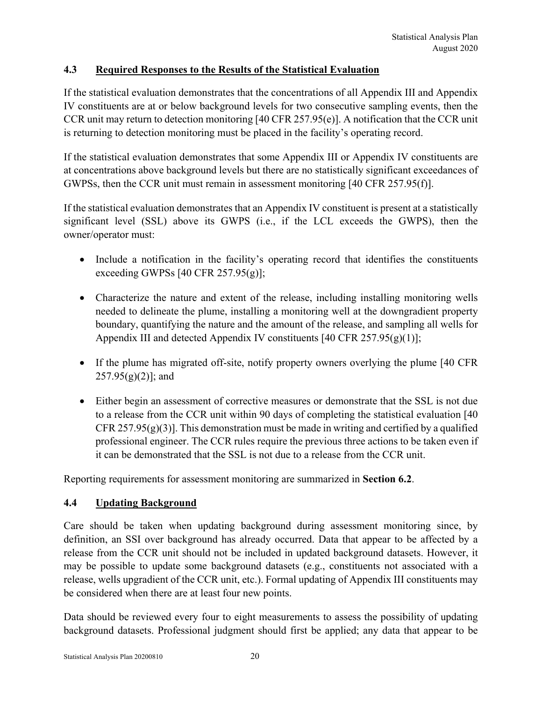#### **4.3 Required Responses to the Results of the Statistical Evaluation**

If the statistical evaluation demonstrates that the concentrations of all Appendix III and Appendix IV constituents are at or below background levels for two consecutive sampling events, then the CCR unit may return to detection monitoring [40 CFR 257.95(e)]. A notification that the CCR unit is returning to detection monitoring must be placed in the facility's operating record.

If the statistical evaluation demonstrates that some Appendix III or Appendix IV constituents are at concentrations above background levels but there are no statistically significant exceedances of GWPSs, then the CCR unit must remain in assessment monitoring [40 CFR 257.95(f)].

If the statistical evaluation demonstrates that an Appendix IV constituent is present at a statistically significant level (SSL) above its GWPS (i.e., if the LCL exceeds the GWPS), then the owner/operator must:

- Include a notification in the facility's operating record that identifies the constituents exceeding GWPSs  $[40 \text{ CFR } 257.95(g)]$ ;
- Characterize the nature and extent of the release, including installing monitoring wells needed to delineate the plume, installing a monitoring well at the downgradient property boundary, quantifying the nature and the amount of the release, and sampling all wells for Appendix III and detected Appendix IV constituents  $[40 \text{ CFR } 257.95(g)(1)];$
- If the plume has migrated off-site, notify property owners overlying the plume [40 CFR  $257.95(g)(2)$ ; and
- Either begin an assessment of corrective measures or demonstrate that the SSL is not due to a release from the CCR unit within 90 days of completing the statistical evaluation [40 CFR 257.95 $(g)(3)$ ]. This demonstration must be made in writing and certified by a qualified professional engineer. The CCR rules require the previous three actions to be taken even if it can be demonstrated that the SSL is not due to a release from the CCR unit.

Reporting requirements for assessment monitoring are summarized in **Section 6.2**.

#### **4.4 Updating Background**

Care should be taken when updating background during assessment monitoring since, by definition, an SSI over background has already occurred. Data that appear to be affected by a release from the CCR unit should not be included in updated background datasets. However, it may be possible to update some background datasets (e.g., constituents not associated with a release, wells upgradient of the CCR unit, etc.). Formal updating of Appendix III constituents may be considered when there are at least four new points.

Data should be reviewed every four to eight measurements to assess the possibility of updating background datasets. Professional judgment should first be applied; any data that appear to be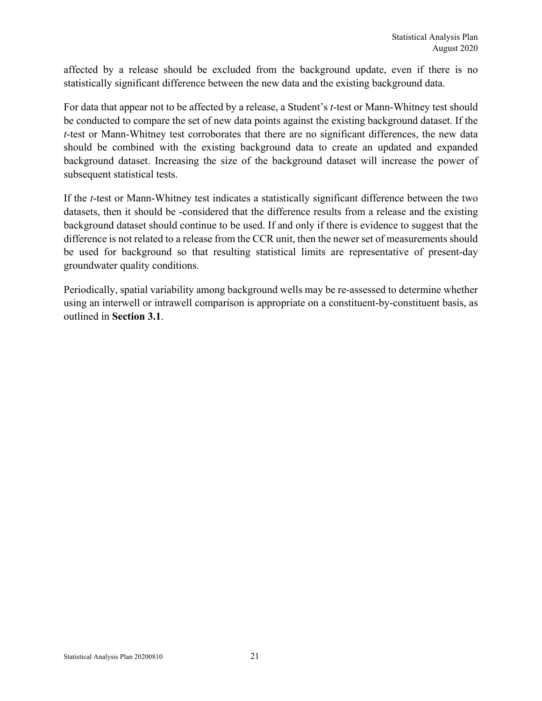affected by a release should be excluded from the background update, even if there is no statistically significant difference between the new data and the existing background data.

For data that appear not to be affected by a release, a Student's *t*-test or Mann-Whitney test should be conducted to compare the set of new data points against the existing background dataset. If the *t*-test or Mann-Whitney test corroborates that there are no significant differences, the new data should be combined with the existing background data to create an updated and expanded background dataset. Increasing the size of the background dataset will increase the power of subsequent statistical tests.

If the *t*-test or Mann-Whitney test indicates a statistically significant difference between the two datasets, then it should be -considered that the difference results from a release and the existing background dataset should continue to be used. If and only if there is evidence to suggest that the difference is not related to a release from the CCR unit, then the newer set of measurements should be used for background so that resulting statistical limits are representative of present-day groundwater quality conditions.

Periodically, spatial variability among background wells may be re-assessed to determine whether using an interwell or intrawell comparison is appropriate on a constituent-by-constituent basis, as outlined in **Section 3.1**.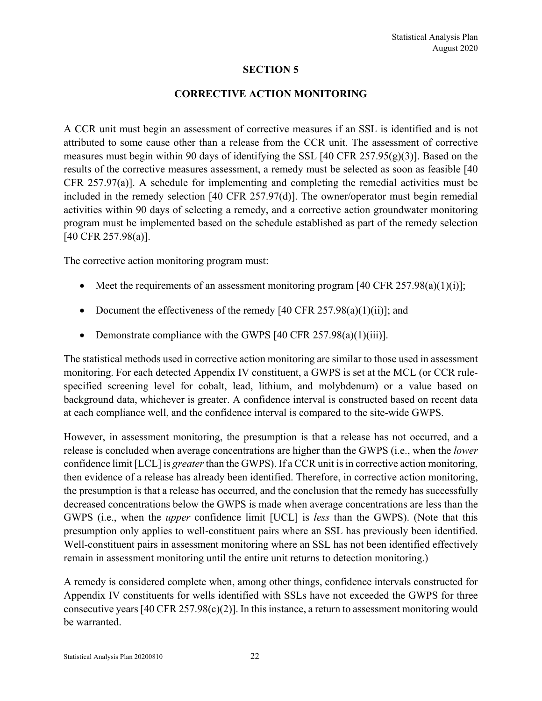#### **CORRECTIVE ACTION MONITORING**

A CCR unit must begin an assessment of corrective measures if an SSL is identified and is not attributed to some cause other than a release from the CCR unit. The assessment of corrective measures must begin within 90 days of identifying the SSL [40 CFR  $257.95(g)(3)$ ]. Based on the results of the corrective measures assessment, a remedy must be selected as soon as feasible [40 CFR 257.97(a)]. A schedule for implementing and completing the remedial activities must be included in the remedy selection [40 CFR 257.97(d)]. The owner/operator must begin remedial activities within 90 days of selecting a remedy, and a corrective action groundwater monitoring program must be implemented based on the schedule established as part of the remedy selection [40 CFR 257.98(a)].

The corrective action monitoring program must:

- Meet the requirements of an assessment monitoring program  $[40 \text{ CFR } 257.98(a)(1)(i)];$
- Document the effectiveness of the remedy  $[40 \text{ CFR } 257.98(a)(1)(ii)]$ ; and
- Demonstrate compliance with the GWPS  $[40 \text{ CFR } 257.98(a)(1)(iii)].$

The statistical methods used in corrective action monitoring are similar to those used in assessment monitoring. For each detected Appendix IV constituent, a GWPS is set at the MCL (or CCR rulespecified screening level for cobalt, lead, lithium, and molybdenum) or a value based on background data, whichever is greater. A confidence interval is constructed based on recent data at each compliance well, and the confidence interval is compared to the site-wide GWPS.

However, in assessment monitoring, the presumption is that a release has not occurred, and a release is concluded when average concentrations are higher than the GWPS (i.e., when the *lower* confidence limit [LCL] is *greater* than the GWPS). If a CCR unit is in corrective action monitoring, then evidence of a release has already been identified. Therefore, in corrective action monitoring, the presumption is that a release has occurred, and the conclusion that the remedy has successfully decreased concentrations below the GWPS is made when average concentrations are less than the GWPS (i.e., when the *upper* confidence limit [UCL] is *less* than the GWPS). (Note that this presumption only applies to well-constituent pairs where an SSL has previously been identified. Well-constituent pairs in assessment monitoring where an SSL has not been identified effectively remain in assessment monitoring until the entire unit returns to detection monitoring.)

A remedy is considered complete when, among other things, confidence intervals constructed for Appendix IV constituents for wells identified with SSLs have not exceeded the GWPS for three consecutive years  $[40 \text{ CFR } 257.98(c)(2)]$ . In this instance, a return to assessment monitoring would be warranted.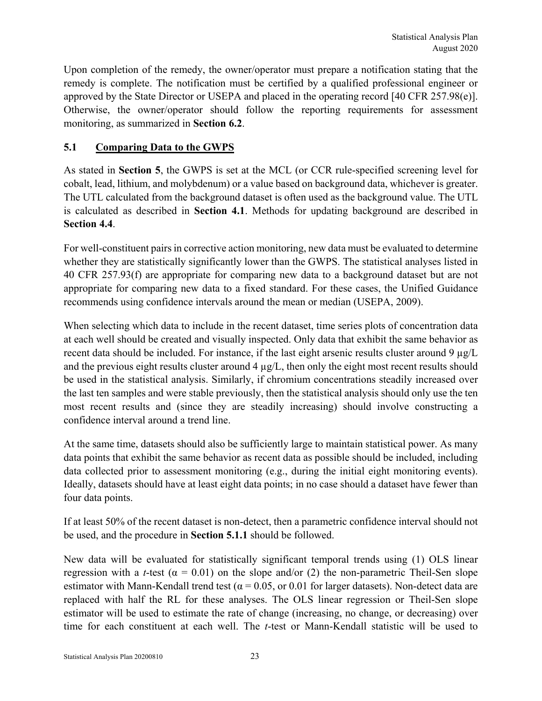Upon completion of the remedy, the owner/operator must prepare a notification stating that the remedy is complete. The notification must be certified by a qualified professional engineer or approved by the State Director or USEPA and placed in the operating record [40 CFR 257.98(e)]. Otherwise, the owner/operator should follow the reporting requirements for assessment monitoring, as summarized in **Section 6.2**.

# **5.1 Comparing Data to the GWPS**

As stated in **Section 5**, the GWPS is set at the MCL (or CCR rule-specified screening level for cobalt, lead, lithium, and molybdenum) or a value based on background data, whichever is greater. The UTL calculated from the background dataset is often used as the background value. The UTL is calculated as described in **Section 4.1**. Methods for updating background are described in **Section 4.4**.

For well-constituent pairs in corrective action monitoring, new data must be evaluated to determine whether they are statistically significantly lower than the GWPS. The statistical analyses listed in 40 CFR 257.93(f) are appropriate for comparing new data to a background dataset but are not appropriate for comparing new data to a fixed standard. For these cases, the Unified Guidance recommends using confidence intervals around the mean or median (USEPA, 2009).

When selecting which data to include in the recent dataset, time series plots of concentration data at each well should be created and visually inspected. Only data that exhibit the same behavior as recent data should be included. For instance, if the last eight arsenic results cluster around 9 µg/L and the previous eight results cluster around 4 µg/L, then only the eight most recent results should be used in the statistical analysis. Similarly, if chromium concentrations steadily increased over the last ten samples and were stable previously, then the statistical analysis should only use the ten most recent results and (since they are steadily increasing) should involve constructing a confidence interval around a trend line.

At the same time, datasets should also be sufficiently large to maintain statistical power. As many data points that exhibit the same behavior as recent data as possible should be included, including data collected prior to assessment monitoring (e.g., during the initial eight monitoring events). Ideally, datasets should have at least eight data points; in no case should a dataset have fewer than four data points.

If at least 50% of the recent dataset is non-detect, then a parametric confidence interval should not be used, and the procedure in **Section 5.1.1** should be followed.

New data will be evaluated for statistically significant temporal trends using (1) OLS linear regression with a *t*-test ( $\alpha = 0.01$ ) on the slope and/or (2) the non-parametric Theil-Sen slope estimator with Mann-Kendall trend test ( $\alpha$  = 0.05, or 0.01 for larger datasets). Non-detect data are replaced with half the RL for these analyses. The OLS linear regression or Theil-Sen slope estimator will be used to estimate the rate of change (increasing, no change, or decreasing) over time for each constituent at each well. The *t*-test or Mann-Kendall statistic will be used to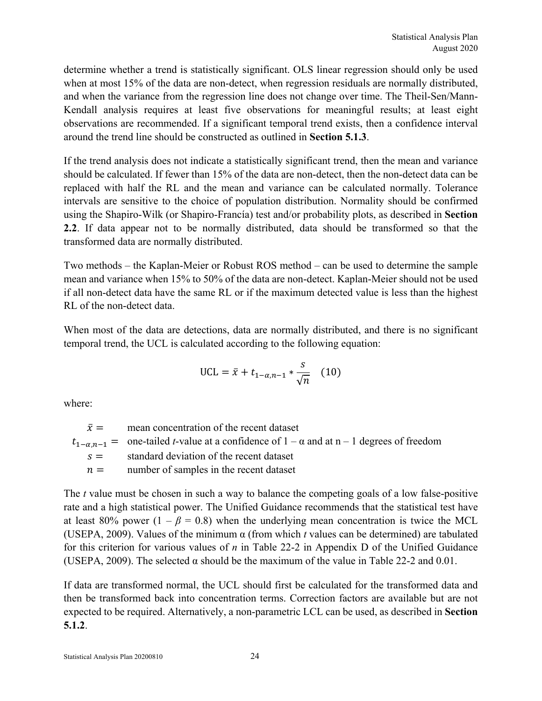determine whether a trend is statistically significant. OLS linear regression should only be used when at most 15% of the data are non-detect, when regression residuals are normally distributed, and when the variance from the regression line does not change over time. The Theil-Sen/Mann-Kendall analysis requires at least five observations for meaningful results; at least eight observations are recommended. If a significant temporal trend exists, then a confidence interval around the trend line should be constructed as outlined in **Section 5.1.3**.

If the trend analysis does not indicate a statistically significant trend, then the mean and variance should be calculated. If fewer than 15% of the data are non-detect, then the non-detect data can be replaced with half the RL and the mean and variance can be calculated normally. Tolerance intervals are sensitive to the choice of population distribution. Normality should be confirmed using the Shapiro-Wilk (or Shapiro-Francía) test and/or probability plots, as described in **Section 2.2**. If data appear not to be normally distributed, data should be transformed so that the transformed data are normally distributed.

Two methods – the Kaplan-Meier or Robust ROS method – can be used to determine the sample mean and variance when 15% to 50% of the data are non-detect. Kaplan-Meier should not be used if all non-detect data have the same RL or if the maximum detected value is less than the highest RL of the non-detect data.

When most of the data are detections, data are normally distributed, and there is no significant temporal trend, the UCL is calculated according to the following equation:

UCL = 
$$
\bar{x} + t_{1-\alpha,n-1} * \frac{s}{\sqrt{n}}
$$
 (10)

where:

 $\bar{x}$  = mean concentration of the recent dataset  $t_{1-\alpha,n-1}$  = one-tailed *t*-value at a confidence of  $1-\alpha$  and at n – 1 degrees of freedom  $s =$  standard deviation of the recent dataset  $n =$  number of samples in the recent dataset

The *t* value must be chosen in such a way to balance the competing goals of a low false-positive rate and a high statistical power. The Unified Guidance recommends that the statistical test have at least 80% power  $(1 - \beta = 0.8)$  when the underlying mean concentration is twice the MCL (USEPA, 2009). Values of the minimum  $\alpha$  (from which *t* values can be determined) are tabulated for this criterion for various values of *n* in Table 22-2 in Appendix D of the Unified Guidance (USEPA, 2009). The selected  $\alpha$  should be the maximum of the value in Table 22-2 and 0.01.

If data are transformed normal, the UCL should first be calculated for the transformed data and then be transformed back into concentration terms. Correction factors are available but are not expected to be required. Alternatively, a non-parametric LCL can be used, as described in **Section 5.1.2**.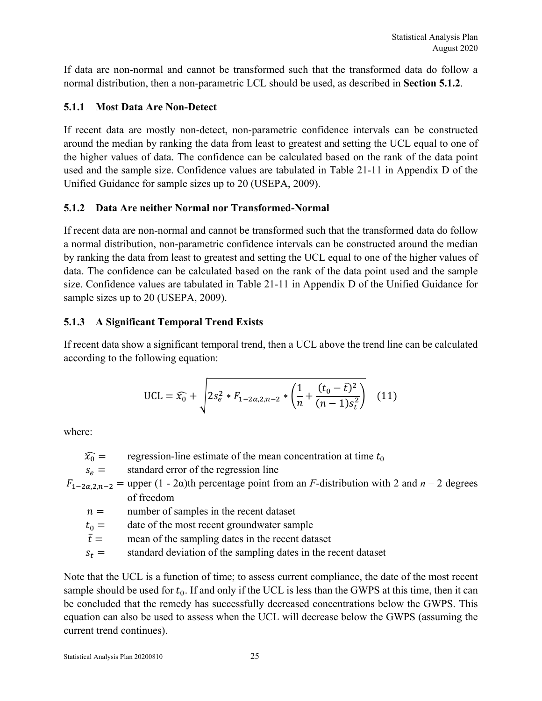If data are non-normal and cannot be transformed such that the transformed data do follow a normal distribution, then a non-parametric LCL should be used, as described in **Section 5.1.2**.

# **5.1.1 Most Data Are Non-Detect**

If recent data are mostly non-detect, non-parametric confidence intervals can be constructed around the median by ranking the data from least to greatest and setting the UCL equal to one of the higher values of data. The confidence can be calculated based on the rank of the data point used and the sample size. Confidence values are tabulated in Table 21-11 in Appendix D of the Unified Guidance for sample sizes up to 20 (USEPA, 2009).

# **5.1.2 Data Are neither Normal nor Transformed-Normal**

If recent data are non-normal and cannot be transformed such that the transformed data do follow a normal distribution, non-parametric confidence intervals can be constructed around the median by ranking the data from least to greatest and setting the UCL equal to one of the higher values of data. The confidence can be calculated based on the rank of the data point used and the sample size. Confidence values are tabulated in Table 21-11 in Appendix D of the Unified Guidance for sample sizes up to 20 (USEPA, 2009).

# **5.1.3 A Significant Temporal Trend Exists**

If recent data show a significant temporal trend, then a UCL above the trend line can be calculated according to the following equation:

UCL = 
$$
\widehat{x_0}
$$
 +  $\sqrt{2s_e^2 * F_{1-2\alpha,2,n-2} * \left(\frac{1}{n} + \frac{(t_0 - \bar{t})^2}{(n-1)s_t^2}\right)}$  (11)

where:

| $\widehat{x_0} =$ | regression-line estimate of the mean concentration at time $t_0$                                                  |  |  |  |
|-------------------|-------------------------------------------------------------------------------------------------------------------|--|--|--|
| $S_{\alpha} =$    | standard error of the regression line                                                                             |  |  |  |
|                   | $F_{1-2\alpha,2n-2}$ = upper (1 - 2 $\alpha$ )th percentage point from an F-distribution with 2 and $n-2$ degrees |  |  |  |
|                   | of freedom                                                                                                        |  |  |  |
| $n =$             | number of samples in the recent dataset                                                                           |  |  |  |
| $t_0 =$           | date of the most recent groundwater sample                                                                        |  |  |  |
|                   |                                                                                                                   |  |  |  |

$$
\bar{t} =
$$
 mean of the sampling dates in the recent dataset

 $s_t$  = standard deviation of the sampling dates in the recent dataset

Note that the UCL is a function of time; to assess current compliance, the date of the most recent sample should be used for  $t_0$ . If and only if the UCL is less than the GWPS at this time, then it can be concluded that the remedy has successfully decreased concentrations below the GWPS. This equation can also be used to assess when the UCL will decrease below the GWPS (assuming the current trend continues).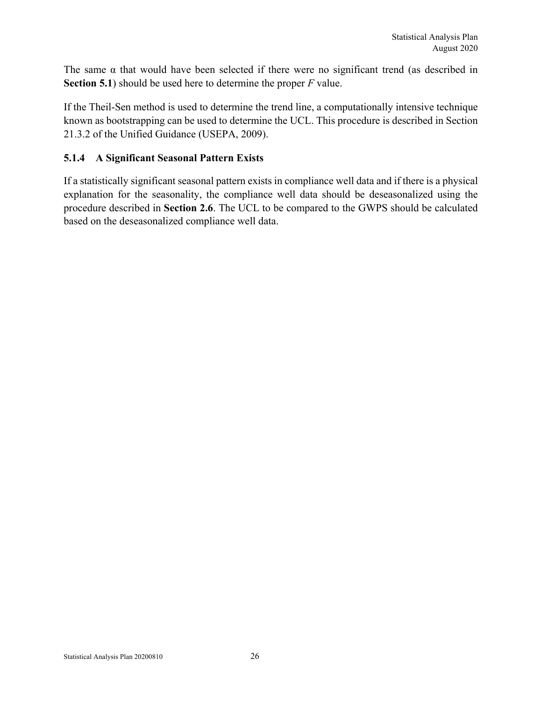The same  $\alpha$  that would have been selected if there were no significant trend (as described in **Section 5.1**) should be used here to determine the proper *F* value.

If the Theil-Sen method is used to determine the trend line, a computationally intensive technique known as bootstrapping can be used to determine the UCL. This procedure is described in Section 21.3.2 of the Unified Guidance (USEPA, 2009).

#### **5.1.4 A Significant Seasonal Pattern Exists**

If a statistically significant seasonal pattern exists in compliance well data and if there is a physical explanation for the seasonality, the compliance well data should be deseasonalized using the procedure described in **Section 2.6**. The UCL to be compared to the GWPS should be calculated based on the deseasonalized compliance well data.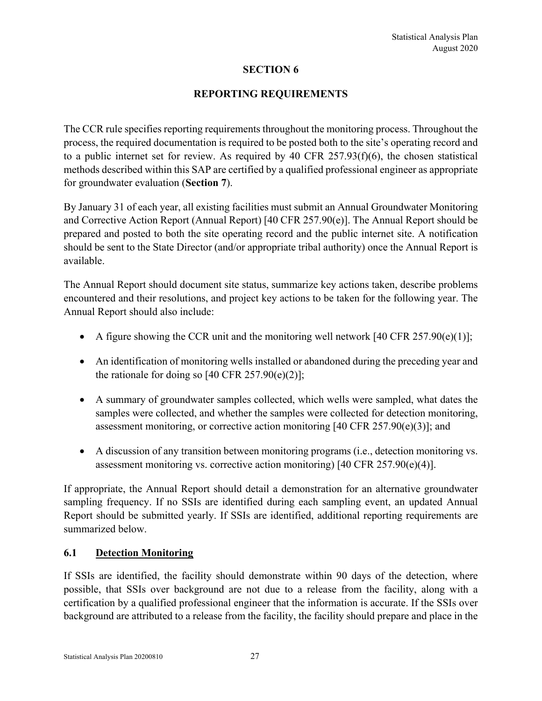#### **REPORTING REQUIREMENTS**

The CCR rule specifies reporting requirements throughout the monitoring process. Throughout the process, the required documentation is required to be posted both to the site's operating record and to a public internet set for review. As required by 40 CFR 257.93(f)(6), the chosen statistical methods described within this SAP are certified by a qualified professional engineer as appropriate for groundwater evaluation (**Section 7**).

By January 31 of each year, all existing facilities must submit an Annual Groundwater Monitoring and Corrective Action Report (Annual Report) [40 CFR 257.90(e)]. The Annual Report should be prepared and posted to both the site operating record and the public internet site. A notification should be sent to the State Director (and/or appropriate tribal authority) once the Annual Report is available.

The Annual Report should document site status, summarize key actions taken, describe problems encountered and their resolutions, and project key actions to be taken for the following year. The Annual Report should also include:

- A figure showing the CCR unit and the monitoring well network  $[40 \text{ CFR } 257.90(e)(1)];$
- An identification of monitoring wells installed or abandoned during the preceding year and the rationale for doing so  $[40 \text{ CFR } 257.90(e)(2)];$
- A summary of groundwater samples collected, which wells were sampled, what dates the samples were collected, and whether the samples were collected for detection monitoring, assessment monitoring, or corrective action monitoring  $[40 \text{ CFR } 257.90(e)(3)]$ ; and
- A discussion of any transition between monitoring programs (i.e., detection monitoring vs. assessment monitoring vs. corrective action monitoring) [40 CFR 257.90(e)(4)].

If appropriate, the Annual Report should detail a demonstration for an alternative groundwater sampling frequency. If no SSIs are identified during each sampling event, an updated Annual Report should be submitted yearly. If SSIs are identified, additional reporting requirements are summarized below.

#### **6.1 Detection Monitoring**

If SSIs are identified, the facility should demonstrate within 90 days of the detection, where possible, that SSIs over background are not due to a release from the facility, along with a certification by a qualified professional engineer that the information is accurate. If the SSIs over background are attributed to a release from the facility, the facility should prepare and place in the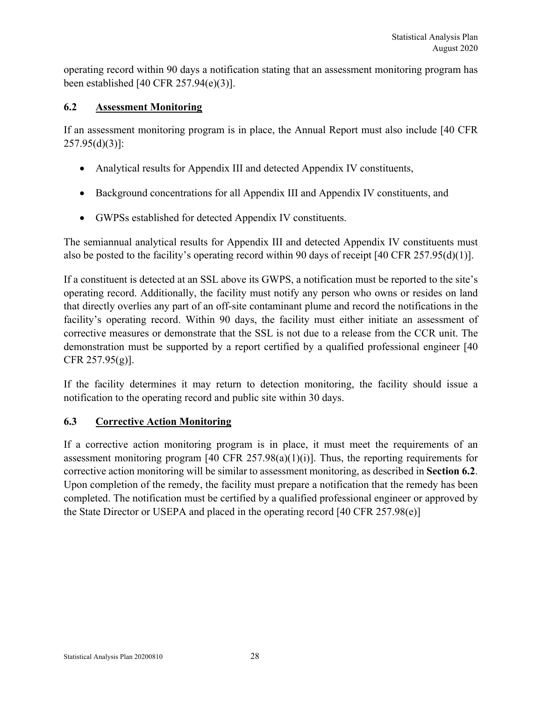operating record within 90 days a notification stating that an assessment monitoring program has been established [40 CFR 257.94(e)(3)].

# **6.2 Assessment Monitoring**

If an assessment monitoring program is in place, the Annual Report must also include [40 CFR  $257.95(d)(3)$ ]:

- Analytical results for Appendix III and detected Appendix IV constituents,
- Background concentrations for all Appendix III and Appendix IV constituents, and
- GWPSs established for detected Appendix IV constituents.

The semiannual analytical results for Appendix III and detected Appendix IV constituents must also be posted to the facility's operating record within 90 days of receipt [40 CFR 257.95(d)(1)].

If a constituent is detected at an SSL above its GWPS, a notification must be reported to the site's operating record. Additionally, the facility must notify any person who owns or resides on land that directly overlies any part of an off-site contaminant plume and record the notifications in the facility's operating record. Within 90 days, the facility must either initiate an assessment of corrective measures or demonstrate that the SSL is not due to a release from the CCR unit. The demonstration must be supported by a report certified by a qualified professional engineer [40 CFR 257.95(g)].

If the facility determines it may return to detection monitoring, the facility should issue a notification to the operating record and public site within 30 days.

#### **6.3 Corrective Action Monitoring**

If a corrective action monitoring program is in place, it must meet the requirements of an assessment monitoring program  $[40 \text{ CFR } 257.98(a)(1)(i)]$ . Thus, the reporting requirements for corrective action monitoring will be similar to assessment monitoring, as described in **Section 6.2**. Upon completion of the remedy, the facility must prepare a notification that the remedy has been completed. The notification must be certified by a qualified professional engineer or approved by the State Director or USEPA and placed in the operating record [40 CFR 257.98(e)]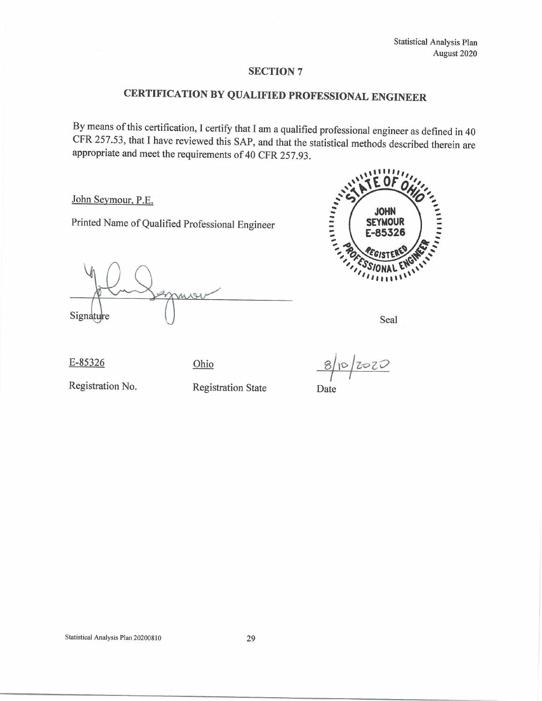# CERTIFICATION BY QUALIFIED PROFESSIONAL ENGINEER

By means of this certification, I certify that I am a qualified professional engineer as defined in 40 CFR 257.53, that I have reviewed this SAP, and that the statistical methods described therein are appropriate and meet the requirements of 40 CFR 257.93.

John Seymour, P.E.

Printed Name of Qualified Professional Engineer

mor Signature



Seal

E-85326

Ohio

 $8|10|2020$ 

Date

Registration No.

**Registration State**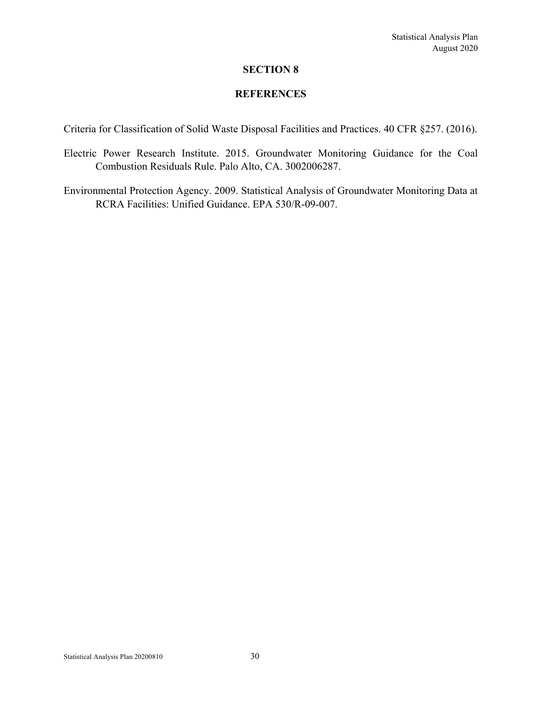#### **REFERENCES**

Criteria for Classification of Solid Waste Disposal Facilities and Practices. 40 CFR §257. (2016).

- Electric Power Research Institute. 2015. Groundwater Monitoring Guidance for the Coal Combustion Residuals Rule. Palo Alto, CA. 3002006287.
- Environmental Protection Agency. 2009. Statistical Analysis of Groundwater Monitoring Data at RCRA Facilities: Unified Guidance. EPA 530/R-09-007.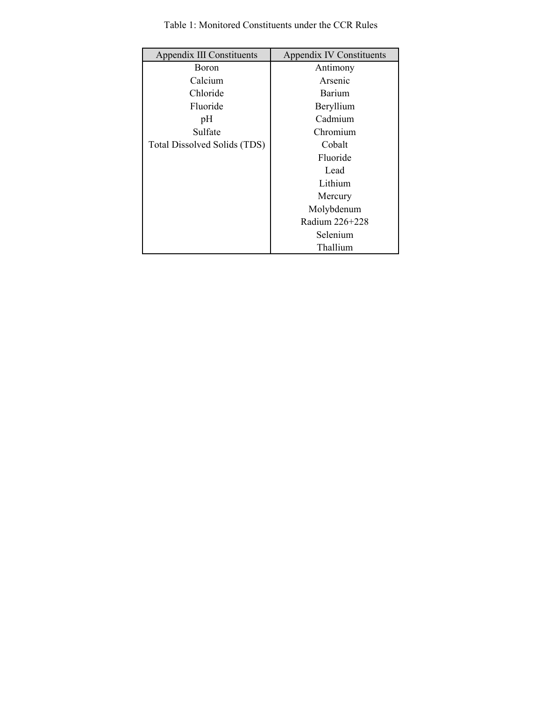| Appendix III Constituents    | <b>Appendix IV Constituents</b> |
|------------------------------|---------------------------------|
| Boron                        | Antimony                        |
| Calcium                      | Arsenic                         |
| Chloride                     | Barium                          |
| Fluoride                     | Beryllium                       |
| pH                           | Cadmium                         |
| Sulfate                      | Chromium                        |
| Total Dissolved Solids (TDS) | Cobalt                          |
|                              | Fluoride                        |
|                              | Lead                            |
|                              | Lithium                         |
|                              | Mercury                         |
|                              | Molybdenum                      |
|                              | Radium 226+228                  |
|                              | Selenium                        |
|                              | Thallium                        |

Table 1: Monitored Constituents under the CCR Rules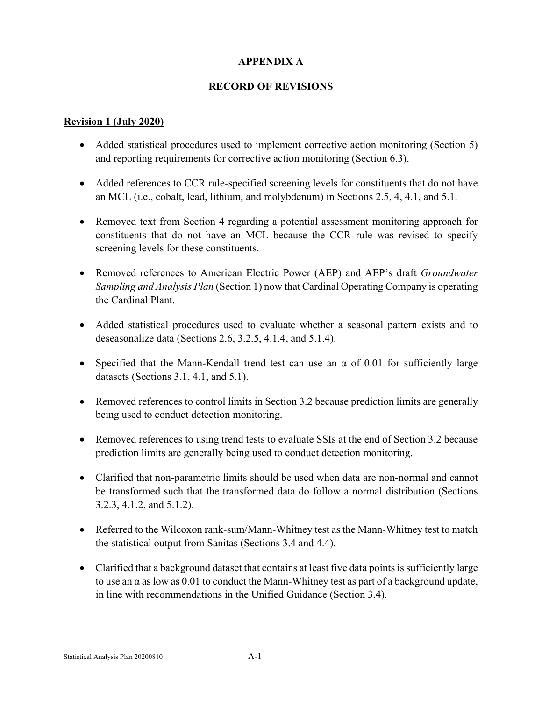# **APPENDIX A**

#### **RECORD OF REVISIONS**

#### **Revision 1 (July 2020)**

- Added statistical procedures used to implement corrective action monitoring (Section 5) and reporting requirements for corrective action monitoring (Section 6.3).
- Added references to CCR rule-specified screening levels for constituents that do not have an MCL (i.e., cobalt, lead, lithium, and molybdenum) in Sections 2.5, 4, 4.1, and 5.1.
- Removed text from Section 4 regarding a potential assessment monitoring approach for constituents that do not have an MCL because the CCR rule was revised to specify screening levels for these constituents.
- Removed references to American Electric Power (AEP) and AEP's draft *Groundwater Sampling and Analysis Plan* (Section 1) now that Cardinal Operating Company is operating the Cardinal Plant.
- Added statistical procedures used to evaluate whether a seasonal pattern exists and to deseasonalize data (Sections 2.6, 3.2.5, 4.1.4, and 5.1.4).
- Specified that the Mann-Kendall trend test can use an  $\alpha$  of 0.01 for sufficiently large datasets (Sections 3.1, 4.1, and 5.1).
- Removed references to control limits in Section 3.2 because prediction limits are generally being used to conduct detection monitoring.
- Removed references to using trend tests to evaluate SSIs at the end of Section 3.2 because prediction limits are generally being used to conduct detection monitoring.
- Clarified that non-parametric limits should be used when data are non-normal and cannot be transformed such that the transformed data do follow a normal distribution (Sections 3.2.3, 4.1.2, and 5.1.2).
- Referred to the Wilcoxon rank-sum/Mann-Whitney test as the Mann-Whitney test to match the statistical output from Sanitas (Sections 3.4 and 4.4).
- Clarified that a background dataset that contains at least five data points is sufficiently large to use an  $\alpha$  as low as 0.01 to conduct the Mann-Whitney test as part of a background update, in line with recommendations in the Unified Guidance (Section 3.4).